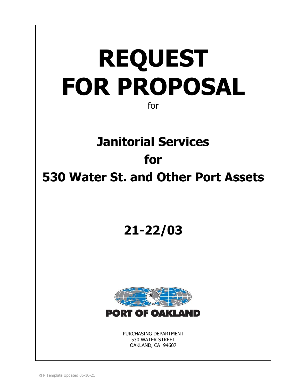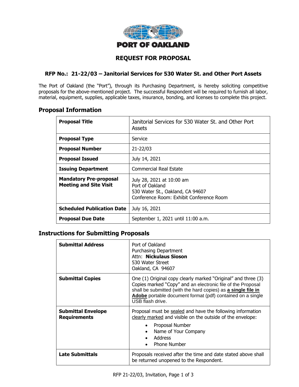

# **REQUEST FOR PROPOSAL**

# **RFP No.: 21-22/03 – Janitorial Services for 530 Water St. and Other Port Assets**

The Port of Oakland (the "Port"), through its Purchasing Department, is hereby soliciting competitive proposals for the above-mentioned project. The successful Respondent will be required to furnish all labor, material, equipment, supplies, applicable taxes, insurance, bonding, and licenses to complete this project.

# **Proposal Information**

| <b>Proposal Title</b>                                          | Janitorial Services for 530 Water St. and Other Port<br><b>Assets</b>                                                        |  |  |  |
|----------------------------------------------------------------|------------------------------------------------------------------------------------------------------------------------------|--|--|--|
| <b>Proposal Type</b>                                           | Service                                                                                                                      |  |  |  |
| <b>Proposal Number</b>                                         | 21-22/03                                                                                                                     |  |  |  |
| <b>Proposal Issued</b>                                         | July 14, 2021                                                                                                                |  |  |  |
| <b>Issuing Department</b>                                      | <b>Commercial Real Estate</b>                                                                                                |  |  |  |
| <b>Mandatory Pre-proposal</b><br><b>Meeting and Site Visit</b> | July 28, 2021 at 10:00 am<br>Port of Oakland<br>530 Water St., Oakland, CA 94607<br>Conference Room: Exhibit Conference Room |  |  |  |
| <b>Scheduled Publication Date</b>                              | July 16, 2021                                                                                                                |  |  |  |
| <b>Proposal Due Date</b>                                       | September 1, 2021 until 11:00 a.m.                                                                                           |  |  |  |

# **Instructions for Submitting Proposals**

| <b>Submittal Address</b>                         | Port of Oakland<br>Purchasing Department<br>Attn: Nickulaus Sioson<br>530 Water Street<br>Oakland, CA 94607                                                                                                                                                                     |  |  |
|--------------------------------------------------|---------------------------------------------------------------------------------------------------------------------------------------------------------------------------------------------------------------------------------------------------------------------------------|--|--|
| <b>Submittal Copies</b>                          | One (1) Original copy clearly marked "Original" and three (3)<br>Copies marked "Copy" and an electronic file of the Proposal<br>shall be submitted (with the hard copies) as a single file in<br>Adobe portable document format (pdf) contained on a single<br>USB flash drive. |  |  |
| <b>Submittal Envelope</b><br><b>Requirements</b> | Proposal must be sealed and have the following information<br>clearly marked and visible on the outside of the envelope:<br>Proposal Number<br>٠<br>Name of Your Company<br>$\bullet$<br>Address<br>$\bullet$<br><b>Phone Number</b><br>$\bullet$                               |  |  |
| <b>Late Submittals</b>                           | Proposals received after the time and date stated above shall<br>be returned unopened to the Respondent.                                                                                                                                                                        |  |  |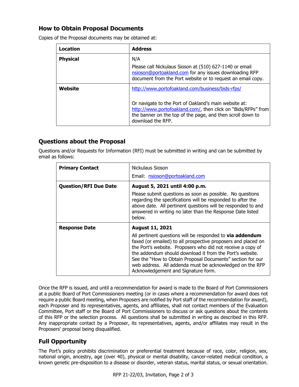# **How to Obtain Proposal Documents**

| Location        | <b>Address</b>                                                                                                                                                                                            |
|-----------------|-----------------------------------------------------------------------------------------------------------------------------------------------------------------------------------------------------------|
| <b>Physical</b> | N/A                                                                                                                                                                                                       |
|                 | Please call Nickulaus Sioson at (510) 627-1140 or email<br>nsioson@portoakland.com for any issues downloading RFP<br>document from the Port website or to request an email copy.                          |
| Website         | http://www.portofoakland.com/business/bids-rfps/                                                                                                                                                          |
|                 | Or navigate to the Port of Oakland's main website at:<br>http://www.portofoakland.com/, then click on "Bids/RFPs" from<br>the banner on the top of the page, and then scroll down to<br>download the RFP. |

Copies of the Proposal documents may be obtained at:

# **Questions about the Proposal**

Questions and/or Requests for Information (RFI) must be submitted in writing and can be submitted by email as follows:

| <b>Primary Contact</b>       | Nickulaus Sioson                                                                                                                                                                                                                                                                                                                                                                                                       |  |  |  |
|------------------------------|------------------------------------------------------------------------------------------------------------------------------------------------------------------------------------------------------------------------------------------------------------------------------------------------------------------------------------------------------------------------------------------------------------------------|--|--|--|
|                              | Email: nsioson@portoakland.com                                                                                                                                                                                                                                                                                                                                                                                         |  |  |  |
| <b>Question/RFI Due Date</b> | August 5, 2021 until 4:00 p.m.<br>Please submit questions as soon as possible. No questions<br>regarding the specifications will be responded to after the<br>above date. All pertinent questions will be responded to and<br>answered in writing no later than the Response Date listed<br>below.                                                                                                                     |  |  |  |
| <b>Response Date</b>         | <b>August 11, 2021</b>                                                                                                                                                                                                                                                                                                                                                                                                 |  |  |  |
|                              | All pertinent questions will be responded to via addendum<br>faxed (or emailed) to all prospective proposers and placed on<br>the Port's website. Proposers who did not receive a copy of<br>the addendum should download it from the Port's website.<br>See the "How to Obtain Proposal Documents" section for our<br>web address. All addenda must be acknowledged on the RFP<br>Acknowledgement and Signature form. |  |  |  |

Once the RFP is issued, and until a recommendation for award is made to the Board of Port Commissioners at a public Board of Port Commissioners meeting (or in cases where a recommendation for award does not require a public Board meeting, when Proposers are notified by Port staff of the recommendation for award), each Proposer and its representatives, agents, and affiliates, shall not contact members of the Evaluation Committee, Port staff or the Board of Port Commissioners to discuss or ask questions about the contents of this RFP or the selection process. All questions shall be submitted in writing as described in this RFP. Any inappropriate contact by a Proposer, its representatives, agents, and/or affiliates may result in the Proposers' proposal being disqualified.

# **Full Opportunity**

The Port's policy prohibits discrimination or preferential treatment because of race, color, religion, sex, national origin, ancestry, age (over 40), physical or mental disability, cancer-related medical condition, a known genetic pre-disposition to a disease or disorder, veteran status, marital status, or sexual orientation.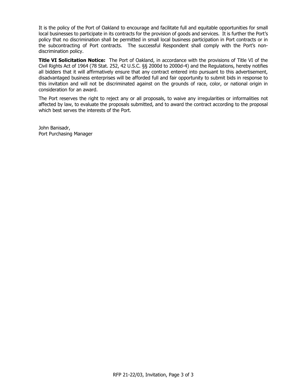It is the policy of the Port of Oakland to encourage and facilitate full and equitable opportunities for small local businesses to participate in its contracts for the provision of goods and services. It is further the Port's policy that no discrimination shall be permitted in small local business participation in Port contracts or in the subcontracting of Port contracts. The successful Respondent shall comply with the Port's nondiscrimination policy.

**Title VI Solicitation Notice:** The Port of Oakland, in accordance with the provisions of Title VI of the Civil Rights Act of 1964 (78 Stat. 252, 42 U.S.C. §§ 2000d to 2000d-4) and the Regulations, hereby notifies all bidders that it will affirmatively ensure that any contract entered into pursuant to this advertisement, disadvantaged business enterprises will be afforded full and fair opportunity to submit bids in response to this invitation and will not be discriminated against on the grounds of race, color, or national origin in consideration for an award.

The Port reserves the right to reject any or all proposals, to waive any irregularities or informalities not affected by law, to evaluate the proposals submitted, and to award the contract according to the proposal which best serves the interests of the Port.

John Banisadr, Port Purchasing Manager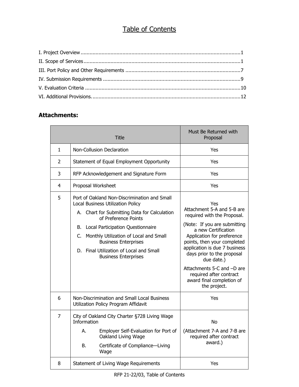# Table of Contents

# **Attachments:**

|                | Title                                                                                                                                                                                                                                                                                                                                                         | Must Be Returned with<br>Proposal                                                                                                                                                                                                                                                                                                                                       |
|----------------|---------------------------------------------------------------------------------------------------------------------------------------------------------------------------------------------------------------------------------------------------------------------------------------------------------------------------------------------------------------|-------------------------------------------------------------------------------------------------------------------------------------------------------------------------------------------------------------------------------------------------------------------------------------------------------------------------------------------------------------------------|
| $\mathbf{1}$   | Non-Collusion Declaration                                                                                                                                                                                                                                                                                                                                     | Yes                                                                                                                                                                                                                                                                                                                                                                     |
| $\overline{2}$ | Statement of Equal Employment Opportunity                                                                                                                                                                                                                                                                                                                     | Yes                                                                                                                                                                                                                                                                                                                                                                     |
| 3              | RFP Acknowledgement and Signature Form                                                                                                                                                                                                                                                                                                                        | Yes                                                                                                                                                                                                                                                                                                                                                                     |
| 4              | Proposal Worksheet                                                                                                                                                                                                                                                                                                                                            | Yes                                                                                                                                                                                                                                                                                                                                                                     |
| 5              | Port of Oakland Non-Discrimination and Small<br>Local Business Utilization Policy<br>A. Chart for Submitting Data for Calculation<br>of Preference Points<br>Local Participation Questionnaire<br>В.<br>Monthly Utilization of Local and Small<br>C.<br><b>Business Enterprises</b><br>D. Final Utilization of Local and Small<br><b>Business Enterprises</b> | Yes<br>Attachment 5-A and 5-B are<br>required with the Proposal.<br>(Note: If you are submitting<br>a new Certification<br>Application for preference<br>points, then your completed<br>application is due 7 business<br>days prior to the proposal<br>due date.)<br>Attachments 5-C and -D are<br>required after contract<br>award final completion of<br>the project. |
| 6              | Non-Discrimination and Small Local Business<br>Utilization Policy Program Affidavit                                                                                                                                                                                                                                                                           | Yes                                                                                                                                                                                                                                                                                                                                                                     |
| $\overline{7}$ | City of Oakland City Charter §728 Living Wage<br>Information<br>Employer Self-Evaluation for Port of<br>А.                                                                                                                                                                                                                                                    | <b>No</b><br>(Attachment 7-A and 7-B are                                                                                                                                                                                                                                                                                                                                |
|                | Oakland Living Wage<br>В.<br>Certificate of Compliance-Living<br>Wage                                                                                                                                                                                                                                                                                         | required after contract<br>award.)                                                                                                                                                                                                                                                                                                                                      |
| 8              | Statement of Living Wage Requirements                                                                                                                                                                                                                                                                                                                         | Yes                                                                                                                                                                                                                                                                                                                                                                     |

RFP 21-22/03, Table of Contents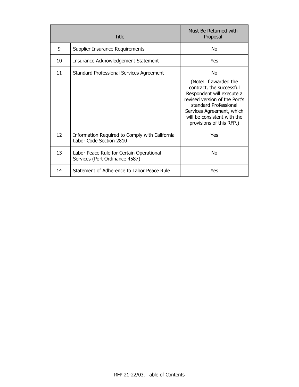|    | Title                                                                      | Must Be Returned with<br>Proposal                                                                                                                                                                                                      |
|----|----------------------------------------------------------------------------|----------------------------------------------------------------------------------------------------------------------------------------------------------------------------------------------------------------------------------------|
| 9  | Supplier Insurance Requirements                                            | No                                                                                                                                                                                                                                     |
| 10 | Insurance Acknowledgement Statement                                        | Yes                                                                                                                                                                                                                                    |
| 11 | Standard Professional Services Agreement                                   | No<br>(Note: If awarded the<br>contract, the successful<br>Respondent will execute a<br>revised version of the Port's<br>standard Professional<br>Services Agreement, which<br>will be consistent with the<br>provisions of this RFP.) |
| 12 | Information Required to Comply with California<br>Labor Code Section 2810  | Yes                                                                                                                                                                                                                                    |
| 13 | Labor Peace Rule for Certain Operational<br>Services (Port Ordinance 4587) | No                                                                                                                                                                                                                                     |
| 14 | Statement of Adherence to Labor Peace Rule                                 | Yes                                                                                                                                                                                                                                    |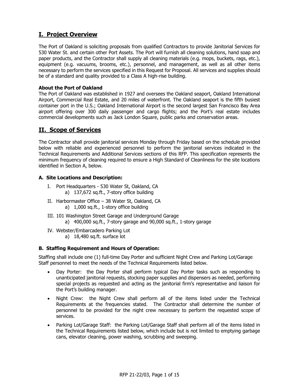# **I. Project Overview**

The Port of Oakland is soliciting proposals from qualified Contractors to provide Janitorial Services for 530 Water St. and certain other Port Assets. The Port will furnish all cleaning solutions, hand soap and paper products, and the Contractor shall supply all cleaning materials (e.g. mops, buckets, rags, etc.), equipment (e.g. vacuums, brooms, etc.), personnel, and management, as well as all other items necessary to perform the services specified in this Request for Proposal. All services and supplies should be of a standard and quality provided to a Class A high-rise building.

### **About the Port of Oakland**

The Port of Oakland was established in 1927 and oversees the Oakland seaport, Oakland International Airport, Commercial Real Estate, and 20 miles of waterfront. The Oakland seaport is the fifth busiest container port in the U.S.; Oakland International Airport is the second largest San Francisco Bay Area airport offering over 300 daily passenger and cargo flights; and the Port's real estate includes commercial developments such as Jack London Square, public parks and conservation areas.

# **II. Scope of Services**

The Contractor shall provide janitorial services Monday through Friday based on the schedule provided below with reliable and experienced personnel to perform the janitorial services indicated in the Technical Requirements and Additional Services sections of this RFP. This specification represents the minimum frequency of cleaning required to ensure a High Standard of Cleanliness for the site locations identified in Section A, below.

## **A. Site Locations and Description:**

- I. Port Headquarters 530 Water St, Oakland, CA a) 137,672 sq.ft., 7-story office building
- II. Harbormaster Office 38 Water St, Oakland, CA a) 1,000 sq.ft., 1-story office building
- III. 101 Washington Street Garage and Underground Garage a) 400,000 sq.ft., 7-story garage and 90,000 sq.ft., 1-story garage
- IV. Webster/Embarcadero Parking Lot
	- a) 18,480 sq.ft. surface lot

#### **B. Staffing Requirement and Hours of Operation:**

Staffing shall include one (1) full-time Day Porter and sufficient Night Crew and Parking Lot/Garage Staff personnel to meet the needs of the Technical Requirements listed below.

- Day Porter: the Day Porter shall perform typical Day Porter tasks such as responding to unanticipated janitorial requests, stocking paper supplies and dispensers as needed, performing special projects as requested and acting as the janitorial firm's representative and liaison for the Port's building manager.
- Night Crew: the Night Crew shall perform all of the items listed under the Technical Requirements at the frequencies stated. The Contractor shall determine the number of personnel to be provided for the night crew necessary to perform the requested scope of services.
- Parking Lot/Garage Staff: the Parking Lot/Garage Staff shall perform all of the items listed in the Technical Requirements listed below, which include but is not limited to emptying garbage cans, elevator cleaning, power washing, scrubbing and sweeping.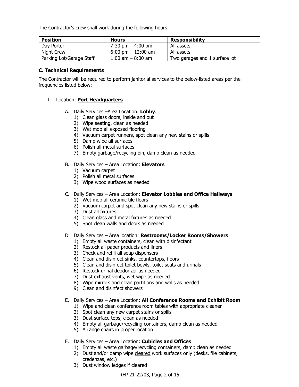The Contractor's crew shall work during the following hours:

| <b>Position</b>          | <b>Hours</b>                         | <b>Responsibility</b>         |
|--------------------------|--------------------------------------|-------------------------------|
| Day Porter               | $7:30 \text{ pm} - 4:00 \text{ pm}$  | All assets                    |
| Night Crew               | $6:00 \text{ pm} - 12:00 \text{ am}$ | All assets                    |
| Parking Lot/Garage Staff | 1:00 am $-$ 8:00 am                  | Two garages and 1 surface lot |

#### **C. Technical Requirements**

The Contractor will be required to perform janitorial services to the below-listed areas per the frequencies listed below:

### I. Location: **Port Headquarters**

- A. Daily Services –Area Location: **Lobby**.
	- 1) Clean glass doors, inside and out
	- 2) Wipe seating, clean as needed
	- 3) Wet mop all exposed flooring
	- 4) Vacuum carpet runners, spot clean any new stains or spills
	- 5) Damp wipe all surfaces
	- 6) Polish all metal surfaces
	- 7) Empty garbage/recycling bin, damp clean as needed

#### B. Daily Services – Area Location: **Elevators**

- 1) Vacuum carpet
- 2) Polish all metal surfaces
- 3) Wipe wood surfaces as needed

### C. Daily Services – Area Location: **Elevator Lobbies and Office Hallways**

- 1) Wet mop all ceramic tile floors
- 2) Vacuum carpet and spot clean any new stains or spills
- 3) Dust all fixtures
- 4) Clean glass and metal fixtures as needed
- 5) Spot clean walls and doors as needed

#### D. Daily Services – Area location: **Restrooms/Locker Rooms/Showers**

- 1) Empty all waste containers, clean with disinfectant
- 2) Restock all paper products and liners
- 3) Check and refill all soap dispensers
- 4) Clean and disinfect sinks, countertops, floors
- 5) Clean and disinfect toilet bowls, toilet seats and urinals
- 6) Restock urinal deodorizer as needed
- 7) Dust exhaust vents, wet wipe as needed
- 8) Wipe mirrors and clean partitions and walls as needed
- 9) Clean and disinfect showers

#### E. Daily Services – Area Location: **All Conference Rooms and Exhibit Room**

- 1) Wipe and clean conference room tables with appropriate cleaner
- 2) Spot clean any new carpet stains or spills
- 3) Dust surface tops, clean as needed
- 4) Empty all garbage/recycling containers, damp clean as needed
- 5) Arrange chairs in proper location

## F. Daily Services – Area Location: **Cubicles and Offices**

- 1) Empty all waste garbage/recycling containers, damp clean as needed
- 2) Dust and/or damp wipe cleared work surfaces only (desks, file cabinets, credenzas, etc.)
- 3) Dust window ledges if cleared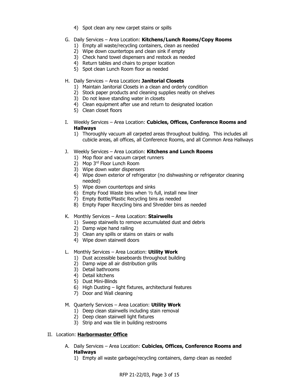- 4) Spot clean any new carpet stains or spills
- G. Daily Services Area Location: **Kitchens/Lunch Rooms/Copy Rooms**
	- 1) Empty all waste/recycling containers, clean as needed
	- 2) Wipe down countertops and clean sink if empty
	- 3) Check hand towel dispensers and restock as needed
	- 4) Return tables and chairs to proper location
	- 5) Spot clean Lunch Room floor as needed
- H. Daily Services Area Location**: Janitorial Closets**
	- 1) Maintain Janitorial Closets in a clean and orderly condition
	- 2) Stock paper products and cleaning supplies neatly on shelves
	- 3) Do not leave standing water in closets
	- 4) Clean equipment after use and return to designated location
	- 5) Clean closet floors
- I. Weekly Services Area Location: **Cubicles, Offices, Conference Rooms and Hallways**
	- 1) Thoroughly vacuum all carpeted areas throughout building. This includes all cubicle areas, all offices, all Conference Rooms, and all Common Area Hallways
- J. Weekly Services Area Location: **Kitchens and Lunch Rooms**
	- 1) Mop floor and vacuum carpet runners
	- 2) Mop 3rd Floor Lunch Room
	- 3) Wipe down water dispensers
	- 4) Wipe down exterior of refrigerator (no dishwashing or refrigerator cleaning needed)
	- 5) Wipe down countertops and sinks
	- 6) Empty Food Waste bins when ½ full, install new liner
	- 7) Empty Bottle/Plastic Recycling bins as needed
	- 8) Empty Paper Recycling bins and Shredder bins as needed
- K. Monthly Services Area Location: **Stairwells**
	- 1) Sweep stairwells to remove accumulated dust and debris
	- 2) Damp wipe hand railing
	- 3) Clean any spills or stains on stairs or walls
	- 4) Wipe down stairwell doors
- L. Monthly Services Area Location: **Utility Work**
	- 1) Dust accessible baseboards throughout building
	- 2) Damp wipe all air distribution grills
	- 3) Detail bathrooms
	- 4) Detail kitchens
	- 5) Dust Mini-Blinds
	- 6) High Dusting light fixtures, architectural features
	- 7) Door and Wall cleaning
- M. Quarterly Services Area Location: **Utility Work**
	- 1) Deep clean stairwells including stain removal
	- 2) Deep clean stairwell light fixtures
	- 3) Strip and wax tile in building restrooms

## II. Location: **Harbormaster Office**

- A. Daily Services Area Location: **Cubicles, Offices, Conference Rooms and Hallways**
	- 1) Empty all waste garbage/recycling containers, damp clean as needed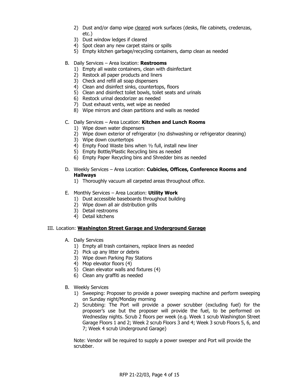- 2) Dust and/or damp wipe cleared work surfaces (desks, file cabinets, credenzas, etc.)
- 3) Dust window ledges if cleared
- 4) Spot clean any new carpet stains or spills
- 5) Empty kitchen garbage/recycling containers, damp clean as needed
- B. Daily Services Area location: **Restrooms**
	- 1) Empty all waste containers, clean with disinfectant
	- 2) Restock all paper products and liners
	- 3) Check and refill all soap dispensers
	- 4) Clean and disinfect sinks, countertops, floors
	- 5) Clean and disinfect toilet bowls, toilet seats and urinals
	- 6) Restock urinal deodorizer as needed
	- 7) Dust exhaust vents, wet wipe as needed
	- 8) Wipe mirrors and clean partitions and walls as needed
- C. Daily Services Area Location: **Kitchen and Lunch Rooms**
	- 1) Wipe down water dispensers
	- 2) Wipe down exterior of refrigerator (no dishwashing or refrigerator cleaning)
	- 3) Wipe down countertops
	- 4) Empty Food Waste bins when ½ full, install new liner
	- 5) Empty Bottle/Plastic Recycling bins as needed
	- 6) Empty Paper Recycling bins and Shredder bins as needed
- D. Weekly Services Area Location: **Cubicles, Offices, Conference Rooms and Hallways**
	- 1) Thoroughly vacuum all carpeted areas throughout office.
- E. Monthly Services Area Location: **Utility Work**
	- 1) Dust accessible baseboards throughout building
	- 2) Wipe down all air distribution grills
	- 3) Detail restrooms
	- 4) Detail kitchens

#### III. Location: **Washington Street Garage and Underground Garage**

- A. Daily Services
	- 1) Empty all trash containers, replace liners as needed
	- 2) Pick up any litter or debris
	- 3) Wipe down Parking Pay Stations
	- 4) Mop elevator floors (4)
	- 5) Clean elevator walls and fixtures (4)
	- 6) Clean any graffiti as needed
- B. Weekly Services
	- 1) Sweeping: Proposer to provide a power sweeping machine and perform sweeping on Sunday night/Monday morning
	- 2) Scrubbing: The Port will provide a power scrubber (excluding fuel) for the proposer's use but the proposer will provide the fuel, to be performed on Wednesday nights. Scrub 2 floors per week (e.g. Week 1 scrub Washington Street Garage Floors 1 and 2; Week 2 scrub Floors 3 and 4; Week 3 scrub Floors 5, 6, and 7; Week 4 scrub Underground Garage)

Note: Vendor will be required to supply a power sweeper and Port will provide the scrubber.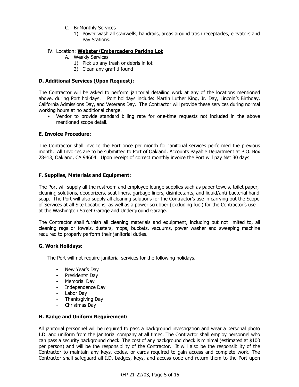- C. Bi-Monthly Services
	- 1) Power wash all stairwells, handrails, areas around trash receptacles, elevators and Pay Stations.

#### IV. Location: **Webster/Embarcadero Parking Lot**

- A. Weekly Services
	- 1) Pick up any trash or debris in lot
	- 2) Clean any graffiti found

#### **D. Additional Services (Upon Request):**

The Contractor will be asked to perform janitorial detailing work at any of the locations mentioned above, during Port holidays. Port holidays include: Martin Luther King, Jr. Day, Lincoln's Birthday, California Admissions Day, and Veterans Day. The Contractor will provide these services during normal working hours at no additional charge.

• Vendor to provide standard billing rate for one-time requests not included in the above mentioned scope detail.

#### **E. Invoice Procedure:**

The Contractor shall invoice the Port once per month for janitorial services performed the previous month. All Invoices are to be submitted to Port of Oakland, Accounts Payable Department at P.O. Box 28413, Oakland, CA 94604. Upon receipt of correct monthly invoice the Port will pay Net 30 days.

#### **F. Supplies, Materials and Equipment:**

The Port will supply all the restroom and employee lounge supplies such as paper towels, toilet paper, cleaning solutions, deodorizers, seat liners, garbage liners, disinfectants, and liquid/anti-bacterial hand soap. The Port will also supply all cleaning solutions for the Contractor's use in carrying out the Scope of Services at all Site Locations, as well as a power scrubber (excluding fuel) for the Contractor's use at the Washington Street Garage and Underground Garage.

The Contractor shall furnish all cleaning materials and equipment, including but not limited to, all cleaning rags or towels, dusters, mops, buckets, vacuums, power washer and sweeping machine required to properly perform their janitorial duties.

#### **G. Work Holidays:**

The Port will not require janitorial services for the following holidays.

- New Year's Day
- Presidents' Day
- Memorial Day
- Independence Day
- Labor Day
- Thanksgiving Day
- Christmas Day

#### **H. Badge and Uniform Requirement:**

All janitorial personnel will be required to pass a background investigation and wear a personal photo I.D. and uniform from the janitorial company at all times. The Contractor shall employ personnel who can pass a security background check. The cost of any background check is minimal (estimated at \$100 per person) and will be the responsibility of the Contractor. It will also be the responsibility of the Contractor to maintain any keys, codes, or cards required to gain access and complete work. The Contractor shall safeguard all I.D. badges, keys, and access code and return them to the Port upon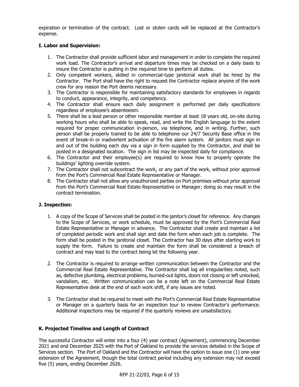expiration or termination of the contract. Lost or stolen cards will be replaced at the Contractor's expense.

## **I. Labor and Supervision:**

- 1. The Contractor shall provide sufficient labor and management in order to complete the required work load. The Contractor's arrival and departure times may be checked on a daily basis to insure the Contractor is putting in the required time to perform all duties.
- 2. Only competent workers, skilled in commercial-type janitorial work shall be hired by the Contractor. The Port shall have the right to request the Contractor replace anyone of the work crew for any reason the Port deems necessary.
- 3. The Contractor is responsible for maintaining satisfactory standards for employees in regards to conduct, appearance, integrity, and competency.
- 4. The Contractor shall ensure each daily assignment is performed per daily specifications regardless of employee's absenteeism.
- 5. There shall be a lead person or other responsible member at least 18 years old, on-site during working hours who shall be able to speak, read, and write the English language to the extent required for proper communication in-person, via telephone, and in writing. Further, such person shall be properly trained to be able to telephone our 24/7 Security Base office in the event of break-in or inadvertent activation of the fire alarm system. All janitors must sign in and out of the building each day via a sign in form supplied by the Contractor, and shall be posted in a designated location. The sign in list may be inspected daily for compliance.
- 6. The Contractor and their employee(s) are required to know how to properly operate the buildings' lighting override system.
- 7. The Contractor shall not subcontract the work, or any part of the work, without prior approval from the Port's Commercial Real Estate Representative or Manager.
- 8. The Contractor shall not allow any unauthorized parties on Port premises without prior approval from the Port's Commercial Real Estate Representative or Manager; doing so may result in the contract termination.

#### **J. Inspection:**

- 1. A copy of the Scope of Services shall be posted in the janitor's closet for reference. Any changes to the Scope of Services, or work schedule, must be approved by the Port's Commercial Real Estate Representative or Manager in advance. The Contractor shall create and maintain a list of completed periodic work and shall sign and date the form when each job is complete. The form shall be posted in the janitorial closet. The Contractor has 30 days after starting work to supply the form. Failure to create and maintain the form shall be considered a breach of contract and may lead to the contract being let the following year.
- 2. The Contractor is required to arrange written communication between the Contractor and the Commercial Real Estate Representative. The Contractor shall log all irregularities noted, such as, defective plumbing, electrical problems, burned-out lights, doors not closing or left unlocked, vandalism, etc. Written communication can be a note left on the Commercial Real Estate Representative desk at the end of each work shift, if any issues are noted.
- 3. The Contractor shall be required to meet with the Port's Commercial Real Estate Representative or Manager on a quarterly basis for an inspection tour to review Contractor's performance. Additional inspections may be required if the quarterly reviews are unsatisfactory.

## **K. Projected Timeline and Length of Contract**

The successful Contractor will enter into a four (4) year contract (Agreement), commencing December 2021 and end December 2025 with the Port of Oakland to provide the services detailed in the Scope of Services section. The Port of Oakland and the Contractor will have the option to issue one (1) one-year extension of the Agreement, though the total contract period including any extension may not exceed five (5) years, ending December 2026.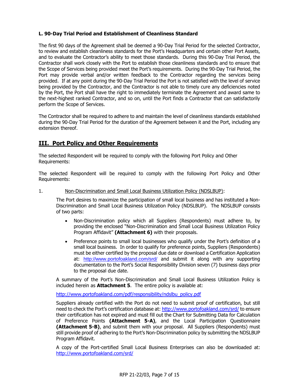### **L. 90-Day Trial Period and Establishment of Cleanliness Standard**

The first 90 days of the Agreement shall be deemed a 90-Day Trial Period for the selected Contractor, to review and establish cleanliness standards for the Port's Headquarters and certain other Port Assets, and to evaluate the Contractor's ability to meet those standards. During this 90-Day Trial Period, the Contractor shall work closely with the Port to establish those cleanliness standards and to ensure that the Scope of Services being provided meet the Port's requirements. During the 90-Day Trial Period, the Port may provide verbal and/or written feedback to the Contractor regarding the services being provided. If at any point during the 90-Day Trial Period the Port is not satisfied with the level of service being provided by the Contractor, and the Contractor is not able to timely cure any deficiencies noted by the Port, the Port shall have the right to immediately terminate the Agreement and award same to the next-highest ranked Contractor, and so on, until the Port finds a Contractor that can satisfactorily perform the Scope of Services.

The Contractor shall be required to adhere to and maintain the level of cleanliness standards established during the 90-Day Trial Period for the duration of the Agreement between it and the Port, including any extension thereof.

# **III. Port Policy and Other Requirements**

The selected Respondent will be required to comply with the following Port Policy and Other Requirements:

The selected Respondent will be required to comply with the following Port Policy and Other Requirements:

#### 1. Non-Discrimination and Small Local Business Utilization Policy (NDSLBUP):

The Port desires to maximize the participation of small local business and has instituted a Non-Discrimination and Small Local Business Utilization Policy (NDSLBUP). The NDSLBUP consists of two parts:

- Non-Discrimination policy which all Suppliers (Respondents) must adhere to, by providing the enclosed "Non-Discrimination and Small Local Business Utilization Policy Program Affidavit" **(Attachment 6)** with their proposals.
- Preference points to small local businesses who qualify under the Port's definition of a small local business. In order to qualify for preference points, Suppliers (Respondents) must be either certified by the proposal due date or download a Certification Application at: <http://www.portofoakland.com/srd/> and submit it along with any supporting documentation to the Port's Social Responsibility Division seven (7) business days prior to the proposal due date.

A summary of the Port's Non-Discrimination and Small Local Business Utilization Policy is included herein as **Attachment 5**. The entire policy is available at:

[http://www.portofoakland.com/pdf/responsibility/ndslbu\\_policy.pdf](http://www.portofoakland.com/pdf/responsibility/ndslbu_policy.pdf)

Suppliers already certified with the Port do not need to submit proof of certification, but still need to check the Port's certification database at: <http://www.portofoakland.com/srd/> to ensure their certification has not expired and must fill out the Chart for Submitting Data for Calculation of Preference Points **(Attachment 5-A)**, and the Local Participation Questionnaire **(Attachment 5-B)**, and submit them with your proposal. All Suppliers (Respondents) must still provide proof of adhering to the Port's Non-Discrimination policy by submitting the NDSLBUP Program Affidavit.

A copy of the Port-certified Small Local Business Enterprises can also be downloaded at: <http://www.portofoakland.com/srd/>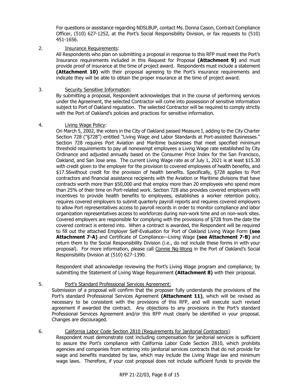For questions or assistance regarding NDSLBUP, contact Ms. Donna Cason, Contract Compliance Officer, (510) 627-1252, at the Port's Social Responsibility Division, or fax requests to (510) 451-1656.

### 2. Insurance Requirements:

All Respondents who plan on submitting a proposal in response to this RFP must meet the Port's Insurance requirements included in this Request for Proposal **(Attachment 9)** and must provide proof of insurance at the time of project award. Respondents must include a statement **(Attachment 10)** with their proposal agreeing to the Port's insurance requirements and indicate they will be able to obtain the proper insurance at the time of project award.

#### 3. Security Sensitive Information:

By submitting a proposal, Respondent acknowledges that in the course of performing services under the Agreement, the selected Contractor will come into possession of sensitive information subject to Port of Oakland regulation. The selected Contractor will be required to comply strictly with the Port of Oakland's policies and practices for sensitive information.

### 4. Living Wage Policy:

On March 5, 2002, the voters in the City of Oakland passed Measure I, adding to the City Charter Section 728 ("§728") entitled "Living Wage and Labor Standards at Port-assisted Businesses." Section 728 requires Port Aviation and Maritime businesses that meet specified minimum threshold requirements to pay all nonexempt employees a Living Wage rate established by City Ordinance and adjusted annually based on the Consumer Price Index for the San Francisco, Oakland, and San Jose area. The current Living Wage rate as of July 1, 2021 is at least \$15.30 with credit given to the employer for the provision to covered employees of health benefits, and \$17.56without credit for the provision of health benefits. Specifically, §728 applies to Port contractors and financial assistance recipients with the Aviation or Maritime divisions that have contracts worth more than \$50,000 and that employ more than 20 employees who spend more than 25% of their time on Port-related work. Section 728 also provides covered employers with incentives to provide health benefits to employees, establishes a worker retention policy, requires covered employers to submit quarterly payroll reports and requires covered employers to allow Port representatives access to payroll records in order to monitor compliance and labor organization representatives access to workforces during non-work time and on non-work sites. Covered employers are responsible for complying with the provisions of §728 from the date the covered contract is entered into. When a contract is awarded, the Respondent will be required to fill out the attached Employer Self-Evaluation for Port of Oakland Living Wage Form **(see Attachment 7-A)** and Certificate of Compliance—Living Wage **(see Attachment 7-B)** and return them to the Social Responsibility Division (i.e., do not include these forms in with your proposal). For more information, please call Connie Ng-Wong in the Port of Oakland's Social Responsibility Division at (510) 627-1390.

Respondent shall acknowledge reviewing the Port's Living Wage program and compliance, by submitting the Statement of Living Wage Requirement **(Attachment 8)** with their proposal.

## 5. Port's Standard Professional Services Agreement:

Submission of a proposal will confirm that the proposer fully understands the provisions of the Port's standard Professional Services Agreement **(Attachment 11)**, which will be revised as necessary to be consistent with the provisions of this RFP, and will execute such revised agreement if awarded the contract. Any objections to any provisions in the Port's standard Professional Services Agreement and/or this RFP must clearly be identified in your proposal. Changes are discouraged.

## 6. California Labor Code Section 2810 (Requirements for Janitorial Contractors)

Respondent must demonstrate cost including compensation for janitorial services is sufficient to assure the Port's compliance with California Labor Code Section 2810, which prohibits agencies and companies from entering into janitorial services contracts that do not provide for wage and benefits mandated by law, which may include the Living Wage law and minimum wage laws. Therefore, if your cost proposal does not include sufficient funds to provide the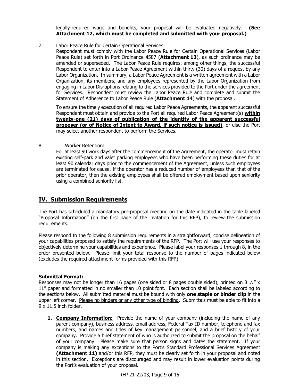legally-required wage and benefits, your proposal will be evaluated negatively. **(See Attachment 12, which must be completed and submitted with your proposal.)**

7. Labor Peace Rule for Certain Operational Services:

Respondent must comply with the Labor Peace Rule for Certain Operational Services (Labor Peace Rule) set forth in Port Ordinance 4587 (**Attachment 13**), as such ordinance may be amended or superseded. The Labor Peace Rule requires, among other things, the successful Respondent to enter into a Labor Peace Agreement within thirty (30) days of a request by any Labor Organization. In summary, a Labor Peace Agreement is a written agreement with a Labor Organization, its members, and any employees represented by the Labor Organization from engaging in Labor Disruptions relating to the services provided to the Port under the agreement for Services.Respondent must review the Labor Peace Rule and complete and submit the Statement of Adherence to Labor Peace Rule (**Attachment 14**) with the proposal.

To ensure the timely execution of all required Labor Peace Agreements, the apparent successful Respondent must obtain and provide to the Port all required Labor Peace Agreement(s) **within twenty-one (21) days of publication of the identity of the apparent successful proposer (or of Notice of Intent to Award, if such notice is issued)**, or else the Port may select another respondent to perform the Services.

8. Worker Retention:

For at least 90 work days after the commencement of the Agreement, the operator must retain existing self-park and valet parking employees who have been performing these duties for at least 90 calendar days prior to the commencement of the Agreement, unless such employees are terminated for cause. If the operator has a reduced number of employees than that of the prior operator, then the existing employees shall be offered employment based upon seniority using a combined seniority list.

# **IV. Submission Requirements**

The Port has scheduled a mandatory pre-proposal meeting on the date indicated in the table labeled "Proposal Information" (on the first page of the invitation for this RFP), to review the submission requirements.

Please respond to the following 8 submission requirements in a straightforward, concise delineation of your capabilities proposed to satisfy the requirements of the RFP. The Port will use your responses to objectively determine your capabilities and experience. Please label your responses 1 through 8, in the order presented below. Please limit your total response to the number of pages indicated below (excludes the required attachment forms provided with this RFP).

## **Submittal Format:**

Responses may not be longer than 16 pages (one sided or 8 pages double sided), printed on 8  $\frac{1}{2}$ " x 11" paper and formatted in no smaller than 10 point font. Each section shall be labeled according to the sections below. All submitted material must be bound with only **one staple or binder clip** in the upper left corner. Please no binders or any other type of binding. Submittals must be able to fit into a 9 x 11.5 inch folder.

**1. Company Information:** Provide the name of your company (including the name of any parent company), business address, email address, Federal Tax ID number, telephone and fax numbers, and names and titles of key management personnel, and a brief history of your company. Provide a brief statement of who is authorized to submit the proposal on the behalf of your company. Please make sure that person signs and dates the statement. If your company is making any exceptions to the Port's Standard Professional Services Agreement **(Attachment 11)** and/or this RFP, they must be clearly set forth in your proposal and noted in this section. Exceptions are discouraged and may result in lower evaluation points during the Port's evaluation of your proposal.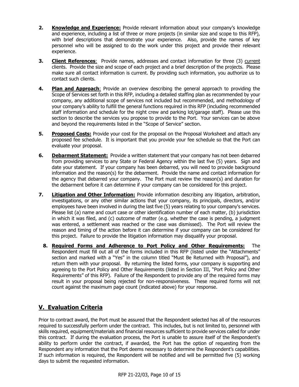- **2. Knowledge and Experience:** Provide relevant information about your company's knowledge and experience, including a list of three or more projects (in similar size and scope to this RFP), with brief descriptions that demonstrate your experience. Also, provide the names of key personnel who will be assigned to do the work under this project and provide their relevant experience.
- **3. Client References**: Provide names, addresses and contact information for three (3) current clients. Provide the size and scope of each project and a brief description of the projects. Please make sure all contact information is current. By providing such information, you authorize us to contact such clients.
- **4. Plan and Approach**: Provide an overview describing the general approach to providing the Scope of Services set forth in this RFP, including a detailed staffing plan as recommended by your company, any additional scope of services not included but recommended, and methodology of your company's ability to fulfill the general functions required in this RFP (including recommended staff information and schedule for the night crew and parking lot/garage staff). Please use this section to describe the services you propose to provide to the Port. Your services can be above and beyond the requirements listed in the "Scope of Service" section.
- **5. Proposed Costs:** Provide your cost for the proposal on the Proposal Worksheet and attach any proposed fee schedule. It is important that you provide your fee schedule so that the Port can evaluate your proposal.
- **6. Debarment Statement:** Provide a written statement that your company has not been debarred from providing services to any State or Federal Agency within the last five (5) years. Sign and date your statement. If your company has been debarred, you will need to provide background information and the reason(s) for the debarment. Provide the name and contact information for the agency that debarred your company. The Port must review the reason(s) and duration for the debarment before it can determine if your company can be considered for this project.
- **7. Litigation and Other Information:** Provide information describing any litigation, arbitration, investigations, or any other similar actions that your company, its principals, directors, and/or employees have been involved in during the last five (5) years relating to your company's services. Please list (a) name and court case or other identification number of each matter, (b) jurisdiction in which it was filed, and (c) outcome of matter (e.g. whether the case is pending, a judgment was entered, a settlement was reached or the case was dismissed). The Port will review the reason and timing of the action before it can determine if your company can be considered for this project. Failure to provide the litigation information may disqualify your proposal.
	- **8. Required Forms and Adherence to Port Policy and Other Requirements:** The Respondent must fill out all of the forms included in this RFP (listed under the "Attachments" section and marked with a "Yes" in the column titled "Must Be Returned with Proposal"), and return them with your proposal. By returning the listed forms, your company is supporting and agreeing to the Port Policy and Other Requirements (listed in Section III, "Port Policy and Other Requirements" of this RFP). Failure of the Respondent to provide any of the required forms may result in your proposal being rejected for non-responsiveness. These required forms will not count against the maximum page count (indicated above) for your response.

# **V. Evaluation Criteria**

Prior to contract award, the Port must be assured that the Respondent selected has all of the resources required to successfully perform under the contract. This includes, but is not limited to, personnel with skills required, equipment/materials and financial resources sufficient to provide services called for under this contract. If during the evaluation process, the Port is unable to assure itself of the Respondent's ability to perform under the contract, if awarded, the Port has the option of requesting from the Respondent any information that the Port deems necessary to determine the Respondent's capabilities. If such information is required, the Respondent will be notified and will be permitted five (5) working days to submit the requested information.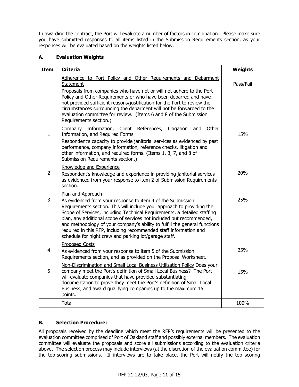In awarding the contract, the Port will evaluate a number of factors in combination. Please make sure you have submitted responses to all items listed in the Submission Requirements section, as your responses will be evaluated based on the weights listed below.

### **A. Evaluation Weights**

| <b>Item</b>    | <b>Criteria</b>                                                                                                                                                                                                                                                                                                                                                                                                                                                                                                            | <b>Weights</b> |
|----------------|----------------------------------------------------------------------------------------------------------------------------------------------------------------------------------------------------------------------------------------------------------------------------------------------------------------------------------------------------------------------------------------------------------------------------------------------------------------------------------------------------------------------------|----------------|
|                | Adherence to Port Policy and Other Requirements and Debarment<br><b>Statement</b><br>Proposals from companies who have not or will not adhere to the Port<br>Policy and Other Requirements or who have been debarred and have<br>not provided sufficient reasons/justification for the Port to review the<br>circumstances surrounding the debarment will not be forwarded to the<br>evaluation committee for review. (Items 6 and 8 of the Submission<br>Requirements section.)                                           | Pass/Fail      |
| $\mathbf{1}$   | Company Information,<br>Client References, Litigation and<br>Other<br>Information, and Required Forms<br>Respondent's capacity to provide janitorial services as evidenced by past<br>performance, company information, reference checks, litigation and<br>other information, and required forms. (Items 1, 3, 7, and 8 of<br>Submission Requirements section.)                                                                                                                                                           | 15%            |
| $\overline{2}$ | Knowledge and Experience<br>Respondent's knowledge and experience in providing janitorial services<br>as evidenced from your response to item 2 of Submission Requirements<br>section.                                                                                                                                                                                                                                                                                                                                     | 20%            |
| 3              | Plan and Approach<br>As evidenced from your response to item 4 of the Submission<br>Requirements section. This will include your approach to providing the<br>Scope of Services, including Technical Requirements, a detailed staffing<br>plan, any additional scope of services not included but recommended,<br>and methodology of your company's ability to fulfill the general functions<br>required in this RFP, including recommended staff information and<br>schedule for night crew and parking lot/garage staff. | 25%            |
| $\overline{4}$ | <b>Proposed Costs</b><br>As evidenced from your response to item 5 of the Submission<br>Requirements section, and as provided on the Proposal Worksheet.                                                                                                                                                                                                                                                                                                                                                                   | 25%            |
| 5              | Non-Discrimination and Small Local Business Utilization Policy Does your<br>company meet the Port's definition of Small Local Business? The Port<br>will evaluate companies that have provided substantiating<br>documentation to prove they meet the Port's definition of Small Local<br>Business, and award qualifying companies up to the maximum 15<br>points.                                                                                                                                                         | 15%            |
|                | Total                                                                                                                                                                                                                                                                                                                                                                                                                                                                                                                      | 100%           |

## **B. Selection Procedure:**

All proposals received by the deadline which meet the RFP's requirements will be presented to the evaluation committee comprised of Port of Oakland staff and possibly external members. The evaluation committee will evaluate the proposals and score all submissions according to the evaluation criteria above. The selection process may include interviews (at the discretion of the evaluation committee) for the top-scoring submissions. If interviews are to take place, the Port will notify the top scoring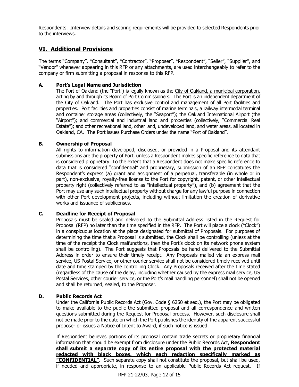Respondents. Interview details and scoring requirements will be provided to selected Respondents prior to the interviews.

# **VI. Additional Provisions**

The terms "Company", "Consultant", "Contractor", "Proposer", "Respondent", "Seller", "Supplier", and "Vendor" whenever appearing in this RFP or any attachments, are used interchangeably to refer to the company or firm submitting a proposal in response to this RFP.

### **A. Port's Legal Name and Jurisdiction**

The Port of Oakland (the "Port") is legally known as the City of Oakland, a municipal corporation, acting by and through its Board of Port Commissioners. The Port is an independent department of the City of Oakland. The Port has exclusive control and management of all Port facilities and properties. Port facilities and properties consist of marine terminals, a railway intermodal terminal and container storage areas (collectively, the "Seaport"); the Oakland International Airport (the "Airport"); and commercial and industrial land and properties (collectively, "Commercial Real Estate"); and other recreational land, other land, undeveloped land, and water areas, all located in Oakland, CA. The Port issues Purchase Orders under the name "Port of Oakland".

### **B. Ownership of Proposal**

All rights to information developed, disclosed, or provided in a Proposal and its attendant submissions are the property of Port, unless a Respondent makes specific reference to data that is considered proprietary. To the extent that a Respondent does not make specific reference to data that is considered "confidential" and proprietary, submission of an RFP constitutes the Respondent's express (a) grant and assignment of a perpetual, transferable (in whole or in part), non-exclusive, royalty-free license to the Port for copyright, patent, or other intellectual property right (collectively referred to as "intellectual property"), and (b) agreement that the Port may use any such intellectual property without charge for any lawful purpose in connection with other Port development projects, including without limitation the creation of derivative works and issuance of sublicenses.

#### **C. Deadline for Receipt of Proposal**

Proposals must be sealed and delivered to the Submittal Address listed in the Request for Proposal (RFP) no later than the time specified in the RFP. The Port will place a clock ("Clock") in a conspicuous location at the place designated for submittal of Proposals. For purposes of determining the time that a Proposal is submitted, the Clock shall be controlling (unless at the time of the receipt the Clock malfunctions, then the Port's clock on its network phone system shall be controlling). The Port suggests that Proposals be hand delivered to the Submittal Address in order to ensure their timely receipt. Any Proposals mailed via an express mail service, US Postal Service, or other courier service shall not be considered timely received until date and time stamped by the controlling Clock. Any Proposals received after the time stated (regardless of the cause of the delay, including whether caused by the express mail service, US Postal Services, other courier service, or the Port's mail handling personnel) shall not be opened and shall be returned, sealed, to the Proposer.

#### **D. Public Records Act**

Under the California Public Records Act (Gov. Code § 6250 et seq.), the Port may be obligated to make available to the public the submitted proposal and all correspondence and written questions submitted during the Request for Proposal process. However, such disclosure shall not be made prior to the date on which the Port publishes the identity of the apparent successful proposer or issues a Notice of Intent to Award, if such notice is issued.

If Respondent believes portions of its proposal contain trade secrets or proprietary financial information that should be exempt from disclosure under the Public Records Act, **Respondent shall submit a separate copy of its entire proposal with the protected material redacted with black boxes, which each redaction specifically marked as "CONFIDENTIAL"**. Such separate copy shall not constitute the proposal, but shall be used, if needed and appropriate, in response to an applicable Public Records Act request. If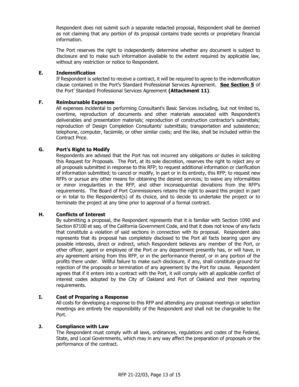Respondent does not submit such a separate redacted proposal, Respondent shall be deemed as not claiming that any portion of its proposal contains trade secrets or proprietary financial information.

The Port reserves the right to independently determine whether any document is subject to disclosure and to make such information available to the extent required by applicable law, without any restriction or notice to Respondent.

#### **E. Indemnification**

If Respondent is selected to receive a contract, it will be required to agree to the indemnification clause contained in the Port's Standard Professional Services Agreement. **See Section 5** of the Port' Standard Professional Services Agreement **(Attachment 11)**.

#### **F. Reimbursable Expenses**

All expenses incidental to performing Consultant's Basic Services including, but not limited to, overtime, reproduction of documents and other materials associated with Respondent's deliverables and presentation materials; reproduction of construction contractor's submittals; reproduction of Design Completion Consultants' submittals; transportation and subsistence; telephone, computer, facsimile, or other similar costs; and the like, shall be included within the Contract Price.

#### **G. Port's Right to Modify**

Respondents are advised that the Port has not incurred any obligations or duties in soliciting this Request for Proposals. The Port, at its sole discretion, reserves the right to reject any or all proposals submitted in response to this RFP; to request additional information or clarification of information submitted; to cancel or modify, in part or in its entirety, this RFP; to request new RFPs or pursue any other means for obtaining the desired services; to waive any informalities or minor irregularities in the RFP, and other inconsequential deviations from the RFP's requirements. The Board of Port Commissioners retains the right to award this project in part or in total to the Respondent(s) of its choice, and to decide to undertake the project or to terminate the project at any time prior to approval of a formal contract.

#### **H. Conflicts of Interest**

By submitting a proposal, the Respondent represents that it is familiar with Section 1090 and Section 87100 et seq. of the California Government Code, and that it does not know of any facts that constitute a violation of said sections in connection with its proposal. Respondent also represents that its proposal has completely disclosed to the Port all facts bearing upon any possible interests, direct or indirect, which Respondent believes any member of the Port, or other officer, agent or employee of the Port or any department presently has, or will have, in any agreement arising from this RFP, or in the performance thereof, or in any portion of the profits there under. Willful failure to make such disclosure, if any, shall constitute ground for rejection of the proposals or termination of any agreement by the Port for cause. Respondent agrees that if it enters into a contract with the Port, it will comply with all applicable conflict of interest codes adopted by the City of Oakland and Port of Oakland and their reporting requirements.

#### **I. Cost of Preparing a Response**

All costs for developing a response to this RFP and attending any proposal meetings or selection meetings are entirely the responsibility of the Respondent and shall not be chargeable to the Port.

#### **J. Compliance with Law**

The Respondent must comply with all laws, ordinances, regulations and codes of the Federal, State, and Local Governments, which may in any way affect the preparation of proposals or the performance of the contract.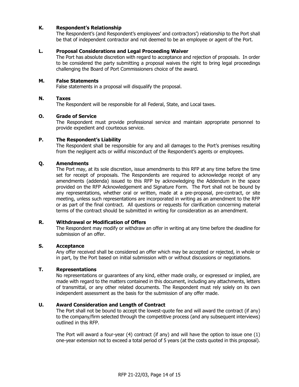#### **K. Respondent's Relationship**

The Respondent's (and Respondent's employees' and contractors') relationship to the Port shall be that of independent contractor and not deemed to be an employee or agent of the Port.

#### **L. Proposal Considerations and Legal Proceeding Waiver**

The Port has absolute discretion with regard to acceptance and rejection of proposals. In order to be considered the party submitting a proposal waives the right to bring legal proceedings challenging the Board of Port Commissioners choice of the award.

#### **M. False Statements**

False statements in a proposal will disqualify the proposal.

#### **N. Taxes**

The Respondent will be responsible for all Federal, State, and Local taxes.

#### **O. Grade of Service**

The Respondent must provide professional service and maintain appropriate personnel to provide expedient and courteous service.

#### **P. The Respondent's Liability**

The Respondent shall be responsible for any and all damages to the Port's premises resulting from the negligent acts or willful misconduct of the Respondent's agents or employees.

#### **Q. Amendments**

The Port may, at its sole discretion, issue amendments to this RFP at any time before the time set for receipt of proposals. The Respondents are required to acknowledge receipt of any amendments (addenda) issued to this RFP by acknowledging the Addendum in the space provided on the RFP Acknowledgement and Signature Form. The Port shall not be bound by any representations, whether oral or written, made at a pre-proposal, pre-contract, or site meeting, unless such representations are incorporated in writing as an amendment to the RFP or as part of the final contract. All questions or requests for clarification concerning material terms of the contract should be submitted in writing for consideration as an amendment.

#### **R. Withdrawal or Modification of Offers**

The Respondent may modify or withdraw an offer in writing at any time before the deadline for submission of an offer.

#### **S. Acceptance**

Any offer received shall be considered an offer which may be accepted or rejected, in whole or in part, by the Port based on initial submission with or without discussions or negotiations.

#### **T. Representations**

No representations or guarantees of any kind, either made orally, or expressed or implied, are made with regard to the matters contained in this document, including any attachments, letters of transmittal, or any other related documents. The Respondent must rely solely on its own independent assessment as the basis for the submission of any offer made.

#### **U. Award Consideration and Length of Contract**

The Port shall not be bound to accept the lowest-quote fee and will award the contract (if any) to the company/firm selected through the competitive process (and any subsequent interviews) outlined in this RFP.

The Port will award a four-year (4) contract (if any) and will have the option to issue one (1) one-year extension not to exceed a total period of 5 years (at the costs quoted in this proposal).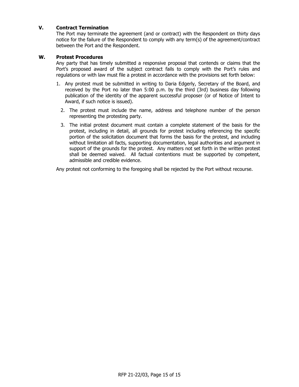#### **V. Contract Termination**

The Port may terminate the agreement (and or contract) with the Respondent on thirty days notice for the failure of the Respondent to comply with any term(s) of the agreement/contract between the Port and the Respondent.

#### **W. Protest Procedures**

Any party that has timely submitted a responsive proposal that contends or claims that the Port's proposed award of the subject contract fails to comply with the Port's rules and regulations or with law must file a protest in accordance with the provisions set forth below:

- 1. Any protest must be submitted in writing to Daria Edgerly, Secretary of the Board, and received by the Port no later than 5:00 p.m. by the third (3rd) business day following publication of the identity of the apparent successful proposer (or of Notice of Intent to Award, if such notice is issued).
	- 2. The protest must include the name, address and telephone number of the person representing the protesting party.
	- 3. The initial protest document must contain a complete statement of the basis for the protest, including in detail, all grounds for protest including referencing the specific portion of the solicitation document that forms the basis for the protest, and including without limitation all facts, supporting documentation, legal authorities and argument in support of the grounds for the protest. Any matters not set forth in the written protest shall be deemed waived. All factual contentions must be supported by competent, admissible and credible evidence.

Any protest not conforming to the foregoing shall be rejected by the Port without recourse.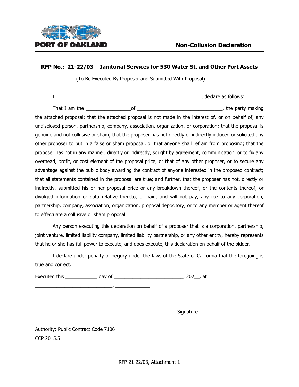

## **RFP No.: 21-22/03 – Janitorial Services for 530 Water St. and Other Port Assets**

(To Be Executed By Proposer and Submitted With Proposal)

I, the contract of the contract of the contract of the contract of the contract of the contract of the contract of the contract of the contract of the contract of the contract of the contract of the contract of the contrac

That I am the the state of the contract of the contract of the party making the party making

the attached proposal; that the attached proposal is not made in the interest of, or on behalf of, any undisclosed person, partnership, company, association, organization, or corporation; that the proposal is genuine and not collusive or sham; that the proposer has not directly or indirectly induced or solicited any other proposer to put in a false or sham proposal, or that anyone shall refrain from proposing; that the proposer has not in any manner, directly or indirectly, sought by agreement, communication, or to fix any overhead, profit, or cost element of the proposal price, or that of any other proposer, or to secure any advantage against the public body awarding the contract of anyone interested in the proposed contract; that all statements contained in the proposal are true; and further, that the proposer has not, directly or indirectly, submitted his or her proposal price or any breakdown thereof, or the contents thereof, or divulged information or data relative thereto, or paid, and will not pay, any fee to any corporation, partnership, company, association, organization, proposal depository, or to any member or agent thereof to effectuate a collusive or sham proposal.

Any person executing this declaration on behalf of a proposer that is a corporation, partnership, joint venture, limited liability company, limited liability partnership, or any other entity, hereby represents that he or she has full power to execute, and does execute, this declaration on behalf of the bidder.

I declare under penalty of perjury under the laws of the State of California that the foregoing is true and correct.

Executed this \_\_\_\_\_\_\_\_\_\_\_\_ day of \_\_\_\_\_\_\_\_\_\_\_\_\_\_\_\_\_\_\_\_\_\_\_\_\_\_, 202\_\_, at

Signature

\_\_\_\_\_\_\_\_\_\_\_\_\_\_\_\_\_\_\_\_\_\_\_\_\_\_\_\_\_\_\_\_\_\_\_\_\_\_\_

Authority: Public Contract Code 7106 CCP 2015.5

 $\overline{\phantom{a}}$  ,  $\overline{\phantom{a}}$  ,  $\overline{\phantom{a}}$  ,  $\overline{\phantom{a}}$  ,  $\overline{\phantom{a}}$  ,  $\overline{\phantom{a}}$  ,  $\overline{\phantom{a}}$  ,  $\overline{\phantom{a}}$  ,  $\overline{\phantom{a}}$  ,  $\overline{\phantom{a}}$  ,  $\overline{\phantom{a}}$  ,  $\overline{\phantom{a}}$  ,  $\overline{\phantom{a}}$  ,  $\overline{\phantom{a}}$  ,  $\overline{\phantom{a}}$  ,  $\overline{\phantom{a}}$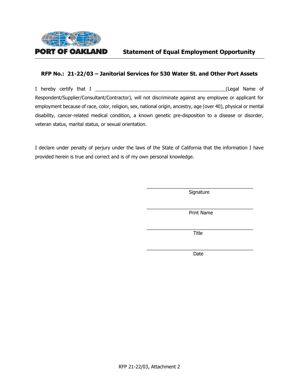

# **Statement of Equal Employment Opportunity**

## **RFP No.: 21-22/03 – Janitorial Services for 530 Water St. and Other Port Assets**

I hereby certify that I \_\_\_\_\_\_\_\_\_\_\_\_\_\_\_\_\_\_\_\_\_\_\_\_\_\_\_\_\_\_\_\_\_\_\_\_\_\_\_\_\_\_\_\_\_\_\_\_\_(Legal Name of Respondent/Supplier/Consultant/Contractor), will not discriminate against any employee or applicant for employment because of race, color, religion, sex, national origin, ancestry, age (over 40), physical or mental disability, cancer-related medical condition, a known genetic pre-disposition to a disease or disorder, veteran status, marital status, or sexual orientation.

I declare under penalty of perjury under the laws of the State of California that the information I have provided herein is true and correct and is of my own personal knowledge.

> \_\_\_\_\_\_\_\_\_\_\_\_\_\_\_\_\_\_\_\_\_\_\_\_\_\_\_\_\_\_\_\_\_\_\_\_\_\_\_\_ **Signature**

> \_\_\_\_\_\_\_\_\_\_\_\_\_\_\_\_\_\_\_\_\_\_\_\_\_\_\_\_\_\_\_\_\_\_\_\_\_\_\_\_ Print Name

> \_\_\_\_\_\_\_\_\_\_\_\_\_\_\_\_\_\_\_\_\_\_\_\_\_\_\_\_\_\_\_\_\_\_\_\_\_\_\_\_ **Title**

> \_\_\_\_\_\_\_\_\_\_\_\_\_\_\_\_\_\_\_\_\_\_\_\_\_\_\_\_\_\_\_\_\_\_\_\_\_\_\_\_ Date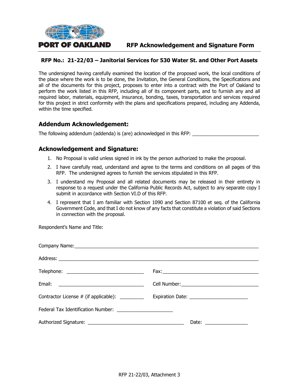

# **RFP No.: 21-22/03 – Janitorial Services for 530 Water St. and Other Port Assets**

The undersigned having carefully examined the location of the proposed work, the local conditions of the place where the work is to be done, the Invitation, the General Conditions, the Specifications and all of the documents for this project, proposes to enter into a contract with the Port of Oakland to perform the work listed in this RFP, including all of its component parts, and to furnish any and all required labor, materials, equipment, insurance, bonding, taxes, transportation and services required for this project in strict conformity with the plans and specifications prepared, including any Addenda, within the time specified.

# **Addendum Acknowledgement:**

The following addendum (addenda) is (are) acknowledged in this RFP:

# **Acknowledgement and Signature:**

- 1. No Proposal is valid unless signed in ink by the person authorized to make the proposal.
- 2. I have carefully read, understand and agree to the terms and conditions on all pages of this RFP. The undersigned agrees to furnish the services stipulated in this RFP.
- 3. I understand my Proposal and all related documents may be released in their entirety in response to a request under the California Public Records Act, subject to any separate copy I submit in accordance with Section VI.D of this RFP.
- 4. I represent that I am familiar with Section 1090 and Section 87100 et seq. of the California Government Code, and that I do not know of any facts that constitute a violation of said Sections in connection with the proposal.

Respondent's Name and Title:

| Contractor License # (if applicable): __________ |                                                                                                                                                                                                                                                                                                                                                                                                                          |
|--------------------------------------------------|--------------------------------------------------------------------------------------------------------------------------------------------------------------------------------------------------------------------------------------------------------------------------------------------------------------------------------------------------------------------------------------------------------------------------|
|                                                  |                                                                                                                                                                                                                                                                                                                                                                                                                          |
|                                                  | Date: $\frac{1}{\sqrt{1-\frac{1}{2}}}\frac{1}{\sqrt{1-\frac{1}{2}}}\frac{1}{\sqrt{1-\frac{1}{2}}}\frac{1}{\sqrt{1-\frac{1}{2}}}\frac{1}{\sqrt{1-\frac{1}{2}}}\frac{1}{\sqrt{1-\frac{1}{2}}}\frac{1}{\sqrt{1-\frac{1}{2}}}\frac{1}{\sqrt{1-\frac{1}{2}}}\frac{1}{\sqrt{1-\frac{1}{2}}}\frac{1}{\sqrt{1-\frac{1}{2}}}\frac{1}{\sqrt{1-\frac{1}{2}}}\frac{1}{\sqrt{1-\frac{1}{2}}}\frac{1}{\sqrt{1-\frac{1}{2}}}\frac{1}{\$ |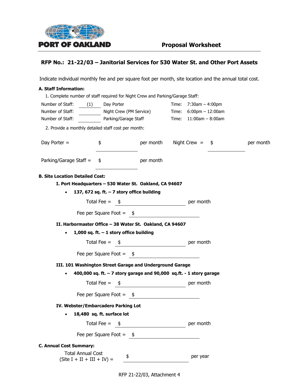

# **RFP No.: 21-22/03 – Janitorial Services for 530 Water St. and Other Port Assets**

Indicate individual monthly fee and per square foot per month, site location and the annual total cost.

| <b>A. Staff Information:</b>                                                  |                                                                      |           |                              |           |
|-------------------------------------------------------------------------------|----------------------------------------------------------------------|-----------|------------------------------|-----------|
| 1. Complete number of staff required for Night Crew and Parking/Garage Staff: |                                                                      |           |                              |           |
| Number of Staff:<br>(1)                                                       | Day Porter                                                           |           | Time: $7:30am - 4:00pm$      |           |
| Night Crew (PM Service) Time: 6:00pm - 12:00am<br>Number of Staff:            |                                                                      |           |                              |           |
| Number of Staff:<br>Parking/Garage Staff                                      |                                                                      |           | $Time: 11:00am - 8:00am$     |           |
| 2. Provide a monthly detailed staff cost per month:                           |                                                                      |           |                              |           |
| Day Porter $=$                                                                | \$                                                                   |           | $per$ month Night Crew = $$$ | per month |
| Parking/Garage Staff =                                                        | \$                                                                   | per month |                              |           |
| <b>B. Site Location Detailed Cost:</b>                                        |                                                                      |           |                              |           |
| I. Port Headquarters - 530 Water St. Oakland, CA 94607                        |                                                                      |           |                              |           |
| $\bullet$                                                                     | 137, 672 sq. ft. $-7$ story office building                          |           |                              |           |
|                                                                               | Total Fee = $\frac{\$}{}$                                            |           |                              |           |
|                                                                               | Fee per Square Foot = $\frac{\$}{\$}$                                |           |                              |           |
| II. Harbormaster Office - 38 Water St. Oakland, CA 94607                      |                                                                      |           |                              |           |
|                                                                               | 1,000 sq. ft. $-1$ story office building                             |           |                              |           |
|                                                                               |                                                                      |           |                              |           |
|                                                                               | Total Fee = $\frac{\$}{}$                                            |           |                              |           |
|                                                                               | Fee per Square Foot = $\frac{\$}{\$}$                                |           |                              |           |
| III. 101 Washington Street Garage and Underground Garage                      |                                                                      |           |                              |           |
|                                                                               | 400,000 sq. ft. $-7$ story garage and 90,000 sq.ft. - 1 story garage |           |                              |           |
|                                                                               | Total Fee = $\frac{\$}{}$                                            |           |                              |           |
|                                                                               | Fee per Square Foot = $\frac{\$}{\$}$                                |           |                              |           |
| IV. Webster/Embarcadero Parking Lot                                           |                                                                      |           |                              |           |
|                                                                               | 18,480 sq. ft. surface lot                                           |           |                              |           |
|                                                                               | Total Fee = $\frac{\$}{}$                                            |           | per month                    |           |
|                                                                               | Fee per Square Foot = $$$                                            |           |                              |           |
| <b>C. Annual Cost Summary:</b>                                                |                                                                      |           |                              |           |
| <b>Total Annual Cost</b><br>$(Site I + II + III + IV) =$                      | \$                                                                   |           | per year                     |           |

RFP 21-22/03, Attachment 4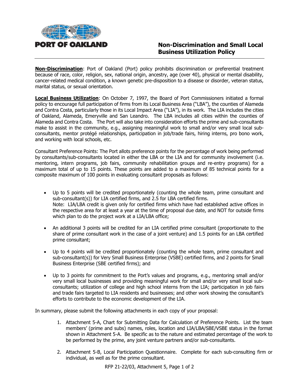

**Non-Discrimination**: Port of Oakland (Port) policy prohibits discrimination or preferential treatment because of race, color, religion, sex, national origin, ancestry, age (over 40), physical or mental disability, cancer-related medical condition, a known genetic pre-disposition to a disease or disorder, veteran status, marital status, or sexual orientation.

**Local Business Utilization**: On October 7, 1997, the Board of Port Commissioners initiated a formal policy to encourage full participation of firms from its Local Business Area ("LBA"), the counties of Alameda and Contra Costa, particularly those in its Local Impact Area ("LIA"), in its work. The LIA includes the cities of Oakland, Alameda, Emeryville and San Leandro. The LBA includes all cities within the counties of Alameda and Contra Costa. The Port will also take into consideration efforts the prime and sub-consultants make to assist in the community, e.g., assigning meaningful work to small and/or very small local subconsultants, mentor protégé relationships, participation in job/trade fairs, hiring interns, pro bono work, and working with local schools, etc.

Consultant Preference Points: The Port allots preference points for the percentage of work being performed by consultants/sub-consultants located in either the LBA or the LIA and for community involvement (i.e. mentoring, intern programs, job fairs, community rehabilitation groups and re-entry programs) for a maximum total of up to 15 points. These points are added to a maximum of 85 technical points for a composite maximum of 100 points in evaluating consultant proposals as follows:

- Up to 5 points will be credited proportionately (counting the whole team, prime consultant and sub-consultant(s)) for LIA certified firms, and 2.5 for LBA certified firms. Note: LIA/LBA credit is given only for certified firms which have had established active offices in the respective area for at least a year at the time of proposal due date, and NOT for outside firms which plan to do the project work at a LIA/LBA office;
- An additional 3 points will be credited for an LIA certified prime consultant (proportionate to the share of prime consultant work in the case of a joint venture) and 1.5 points for an LBA certified prime consultant;
- Up to 4 points will be credited proportionately (counting the whole team, prime consultant and sub-consultant(s)) for Very Small Business Enterprise (VSBE) certified firms, and 2 points for Small Business Enterprise (SBE certified firms); and
- Up to 3 points for commitment to the Port's values and programs, e.g., mentoring small and/or very small local businesses and providing meaningful work for small and/or very small local subconsultants; utilization of college and high school interns from the LIA; participation in job fairs and trade fairs targeted to LIA residents and businesses; and other work showing the consultant's efforts to contribute to the economic development of the LIA.

In summary, please submit the following attachments in each copy of your proposal:

- 1. Attachment 5-A, Chart for Submitting Data for Calculation of Preference Points. List the team members' (prime and subs) names, roles, location and LIA/LBA/SBE/VSBE status in the format shown in Attachment 5-A. Be specific as to the nature and estimated percentage of the work to be performed by the prime, any joint venture partners and/or sub-consultants.
- 2. Attachment 5-B, Local Participation Questionnaire. Complete for each sub-consulting firm or individual, as well as for the prime consultant.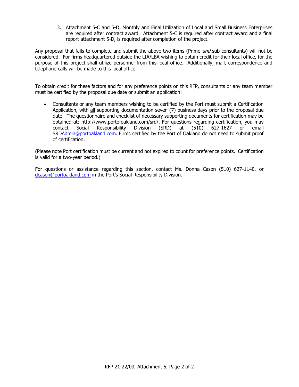3. Attachment 5-C and 5-D, Monthly and Final Utilization of Local and Small Business Enterprises are required after contract award. Attachment 5-C is required after contract award and a final report attachment 5-D, is required after completion of the project.

Any proposal that fails to complete and submit the above two items (Prime and sub-consultants) will not be considered. For firms headquartered outside the LIA/LBA wishing to obtain credit for their local office, for the purpose of this project shall utilize personnel from this local office. Additionally, mail, correspondence and telephone calls will be made to this local office.

To obtain credit for these factors and for any preference points on this RFP, consultants or any team member must be certified by the proposal due date or submit an application:

• Consultants or any team members wishing to be certified by the Port must submit a Certification Application, with all supporting documentation seven (7) business days prior to the proposal due date. The questionnaire and checklist of necessary supporting documents for certification may be obtained at: http://www.portofoakland.com/srd/. For questions regarding certification, you may contact Social Responsibility Division (SRD) at (510) 627-1627 or email [SRDAdmin@portoakland.com.](mailto:SRDAdmin@portoakland.com) Firms certified by the Port of Oakland do not need to submit proof of certification.

(Please note Port certification must be current and not expired to count for preference points. Certification is valid for a two-year period.)

For questions or assistance regarding this section, contact Ms. Donna Cason (510) 627-1140, or [dcason@portoakland.com](mailto:dcason@portoakland.com) in the Port's Social Responsibility Division.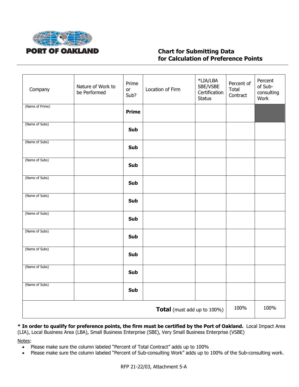

# **Chart for Submitting Data for Calculation of Preference Points**

| Company                            | Nature of Work to<br>be Performed | Prime<br>or<br>Sub? | Location of Firm | *LIA/LBA<br>SBE/VSBE<br>Certification<br><b>Status</b> | Percent of<br>Total<br>Contract | Percent<br>of Sub-<br>consulting<br>Work |
|------------------------------------|-----------------------------------|---------------------|------------------|--------------------------------------------------------|---------------------------------|------------------------------------------|
| (Name of Prime)                    |                                   | <b>Prime</b>        |                  |                                                        |                                 |                                          |
| (Name of Subs)                     |                                   | Sub                 |                  |                                                        |                                 |                                          |
| (Name of Subs)                     |                                   | Sub                 |                  |                                                        |                                 |                                          |
| (Name of Subs)                     |                                   | Sub                 |                  |                                                        |                                 |                                          |
| (Name of Subs)                     |                                   | Sub                 |                  |                                                        |                                 |                                          |
| (Name of Subs)                     |                                   | Sub                 |                  |                                                        |                                 |                                          |
| (Name of Subs)                     |                                   | Sub                 |                  |                                                        |                                 |                                          |
| (Name of Subs)                     |                                   | <b>Sub</b>          |                  |                                                        |                                 |                                          |
| (Name of Subs)                     |                                   | Sub                 |                  |                                                        |                                 |                                          |
| (Name of Subs)                     |                                   | Sub                 |                  |                                                        |                                 |                                          |
| (Name of Subs)                     |                                   | Sub                 |                  |                                                        |                                 |                                          |
| <b>Total</b> (must add up to 100%) |                                   |                     |                  |                                                        | 100%                            | 100%                                     |

**\* In order to qualify for preference points, the firm must be certified by the Port of Oakland.** Local Impact Area (LIA), Local Business Area (LBA), Small Business Enterprise (SBE), Very Small Business Enterprise (VSBE)

Notes:

- Please make sure the column labeled "Percent of Total Contract" adds up to 100%
- Please make sure the column labeled "Percent of Sub-consulting Work" adds up to 100% of the Sub-consulting work.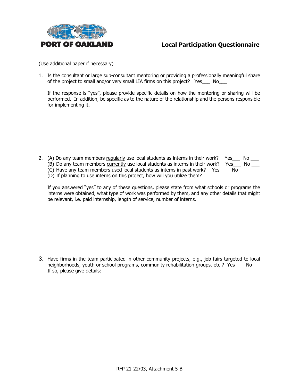

(Use additional paper if necessary)

1. Is the consultant or large sub-consultant mentoring or providing a professionally meaningful share of the project to small and/or very small LIA firms on this project? Yes No

If the response is "yes", please provide specific details on how the mentoring or sharing will be performed. In addition, be specific as to the nature of the relationship and the persons responsible for implementing it.

- 2. (A) Do any team members requiarly use local students as interns in their work? Yes\_\_\_ No  $\frac{1}{\sqrt{2}}$ (B) Do any team members currently use local students as interns in their work? Yes\_\_\_ No \_\_\_
	- (C) Have any team members used local students as interns in past work? Yes \_\_\_ No\_\_\_
	- (D) If planning to use interns on this project, how will you utilize them?
- 
- 

If you answered "yes" to any of these questions, please state from what schools or programs the interns were obtained, what type of work was performed by them, and any other details that might be relevant, i.e. paid internship, length of service, number of interns.

3. Have firms in the team participated in other community projects, e.g., job fairs targeted to local neighborhoods, youth or school programs, community rehabilitation groups, etc.? Yes No If so, please give details: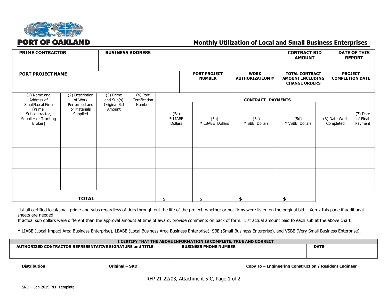

# **Monthly Utilization of Local and Small Business Enterprises**

| <b>PRIME CONTRACTOR</b>                                                             |                                           |                             | <b>BUSINESS ADDRESS</b> |                            |                                      |                                       | <b>CONTRACT BID</b><br><b>AMOUNT</b>                                     |                            | <b>DATE OF THIS</b><br><b>REPORT</b>     |
|-------------------------------------------------------------------------------------|-------------------------------------------|-----------------------------|-------------------------|----------------------------|--------------------------------------|---------------------------------------|--------------------------------------------------------------------------|----------------------------|------------------------------------------|
| <b>PORT PROJECT NAME</b>                                                            |                                           |                             |                         |                            | <b>PORT PROJECT</b><br><b>NUMBER</b> | <b>WORK</b><br><b>AUTHORIZATION #</b> | <b>TOTAL CONTRACT</b><br><b>AMOUNT INCLUDING</b><br><b>CHANGE ORDERS</b> |                            | <b>PROJECT</b><br><b>COMPLETION DATE</b> |
| (3) Prime<br>(1) Name and<br>(2) Description<br>Address of<br>of Work<br>and Sub(s) |                                           | $(4)$ Port<br>Certification |                         | <b>CONTRACT PAYMENTS</b>   |                                      |                                       |                                                                          |                            |                                          |
| Small/Local Firm<br>[Prime,<br>Subcontractor,<br>Supplier or Trucking<br>Broker]    | Performed and<br>or Materials<br>Supplied | Original Bid<br>Amount      | Number                  | (5a)<br>* LIABE<br>Dollars | (5b)<br>* LBABE Dollars              | (5c)<br>* SBE Dollars                 | (5d)<br>* VSBE Dollars                                                   | (6) Date Work<br>Completed | (7) Date<br>of Final<br>Payment          |
|                                                                                     |                                           |                             |                         |                            |                                      |                                       |                                                                          |                            |                                          |
|                                                                                     |                                           |                             |                         |                            |                                      |                                       |                                                                          |                            |                                          |
|                                                                                     | <b>TOTAL</b>                              |                             |                         |                            | \$                                   | \$                                    | \$                                                                       |                            |                                          |

List all certified local/small prime and subs regardless of tiers through out the life of the project, whether or not firms were listed on the original bid. Xerox this page if additional sheets are needed.

If actual sub dollars were different than the approval amount at time of award, provide comments on back of form. List actual amount paid to each sub at the above chart.

**\*** LIABE (Local Impact Area Business Enterprise), LBABE (Local Business Area Business Enterprise), SBE (Small Business Enterprise), and VSBE (Very Small Business Enterprise).

| I CERTIFY THAT THE ABOVE INFORMATION IS COMPLETE. TRUE AND CORRECT |                              |             |  |  |
|--------------------------------------------------------------------|------------------------------|-------------|--|--|
| AUTHORIZED CONTRACTOR REPRESENTATIVE SIGNATURE and TITLE           | <b>BUSINESS PHONE NUMBER</b> | <b>DATE</b> |  |  |
|                                                                    |                              |             |  |  |
|                                                                    |                              |             |  |  |
|                                                                    |                              |             |  |  |

**Distribution: Original – SRD Copy To – Engineering Construction / Resident Engineer**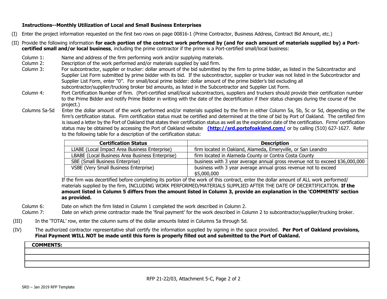#### **Instructions--Monthly Utilization of Local and Small Business Enterprises**

- (I) Enter the project information requested on the first two rows on page 00816-1 (Prime Contractor, Business Address, Contract Bid Amount, etc.)
- (II) Provide the following information **for each portion of the contract work performed by (and for each amount of materials supplied by) a Portcertified small and/or local business**, including the prime contractor if the prime is a Port-certified small/local business:
	- Column 1: Name and address of the firm performing work and/or supplying materials.
	- Column 2: Description of the work performed and/or materials supplied by said firm.
	- Column 3: For subcontractor, supplier or trucker: dollar amount of the bid submitted by the firm to prime bidder, as listed in the Subcontractor and Supplier List Form submitted by prime bidder with its bid. If the subcontractor, supplier or trucker was not listed in the Subcontractor and Supplier List Form, enter "0". For small/local prime bidder: dollar amount of the prime bidder's bid excluding all subcontractor/supplier/trucking broker bid amounts, as listed in the Subcontractor and Supplier List Form.
	- Column 4: Port Certification Number of firm. (Port-certified small/local subcontractors, suppliers and truckers should provide their certification number to the Prime Bidder and notify Prime Bidder in writing with the date of the decertification if their status changes during the course of the project.)
	- Columns 5a-5d Enter the dollar amount of the work performed and/or materials supplied by the firm in either Column 5a, 5b, 5c or 5d, depending on the firm's certification status. Firm certification status must be certified and determined at the time of bid by Port of Oakland. The certified firm is issued a letter by the Port of Oakland that states their certification status as well as the expiration date of the certification. Firms' certification status may be obtained by accessing the Port of Oakland website **(http://srd.portofoakland.com/** or by calling (510) 627-1627. Refer to the following table for a description of the certification status:

| <b>Certification Status</b>                     | <b>Description</b>                                                           |
|-------------------------------------------------|------------------------------------------------------------------------------|
| LIABE (Local Impact Area Business Enterprise)   | firm located in Oakland, Alameda, Emeryville, or San Leandro                 |
| LBABE (Local Business Area Business Enterprise) | firm located in Alameda County or Contra Costa County                        |
| SBE (Small Business Enterprise)                 | business with 3 year average annual gross revenue not to exceed \$36,000,000 |
| VSBE (Very Small Business Enterprise)           | business with 3 year average annual gross revenue not to exceed              |
|                                                 | \$5,000,000                                                                  |

If the firm was decertified before completing its portion of the work of this contract, enter the dollar amount of ALL work performed/ materials supplied by the firm, INCLUDING WORK PERFORMED/MATERIALS SUPPLIED AFTER THE DATE OF DECERTIFICATION. **If the amount listed in Column 5 differs from the amount listed in Column 3, provide an explanation in the 'COMMENTS' section as provided.**

- Column 6: Date on which the firm listed in Column 1 completed the work described in Column 2.
- Column 7: Date on which prime contractor made the 'final payment' for the work described in Column 2 to subcontractor/supplier/trucking broker.
- (III) In the 'TOTAL' row, enter the column sums of the dollar amounts listed in Columns 5a through 5d.
- (IV) The authorized contractor representative shall certify the information supplied by signing in the space provided. **Per Port of Oakland provisions, Final Payment WILL NOT be made until this form is properly filled out and submitted to the Port of Oakland.**

#### **COMMENTS:**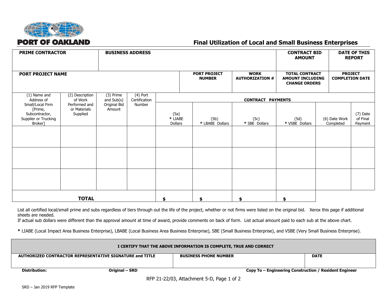

# **Final Utilization of Local and Small Business Enterprises**

| <b>PRIME CONTRACTOR</b>                                                          |                                           |                         | <b>BUSINESS ADDRESS</b>     |                            |                                      |                                       | <b>CONTRACT BID</b><br><b>AMOUNT</b>                                     |                            | <b>DATE OF THIS</b><br><b>REPORT</b>     |
|----------------------------------------------------------------------------------|-------------------------------------------|-------------------------|-----------------------------|----------------------------|--------------------------------------|---------------------------------------|--------------------------------------------------------------------------|----------------------------|------------------------------------------|
| <b>PORT PROJECT NAME</b>                                                         |                                           |                         |                             |                            | <b>PORT PROJECT</b><br><b>NUMBER</b> | <b>WORK</b><br><b>AUTHORIZATION #</b> | <b>TOTAL CONTRACT</b><br><b>AMOUNT INCLUDING</b><br><b>CHANGE ORDERS</b> |                            | <b>PROJECT</b><br><b>COMPLETION DATE</b> |
| (1) Name and<br>Address of                                                       | (2) Description<br>of Work                | (3) Prime<br>and Sub(s) | $(4)$ Port<br>Certification |                            |                                      | <b>CONTRACT PAYMENTS</b>              |                                                                          |                            |                                          |
| Small/Local Firm<br>[Prime,<br>Subcontractor,<br>Supplier or Trucking<br>Broker] | Performed and<br>or Materials<br>Supplied | Original Bid<br>Amount  | Number                      | (5a)<br>* LIABE<br>Dollars | (5b)<br>* LBABE Dollars              | (5c)<br>* SBE Dollars                 | (5d)<br>* VSBE Dollars                                                   | (6) Date Work<br>Completed | (7) Date<br>of Final<br>Payment          |
|                                                                                  |                                           |                         |                             |                            |                                      |                                       |                                                                          |                            |                                          |
|                                                                                  |                                           |                         |                             |                            |                                      |                                       |                                                                          |                            |                                          |
|                                                                                  | <b>TOTAL</b>                              |                         |                             |                            | \$                                   | \$                                    | \$                                                                       |                            |                                          |

List all certified local/small prime and subs regardless of tiers through out the life of the project, whether or not firms were listed on the original bid. Xerox this page if additional sheets are needed.

If actual sub dollars were different than the approval amount at time of award, provide comments on back of form. List actual amount paid to each sub at the above chart.

**\*** LIABE (Local Impact Area Business Enterprise), LBABE (Local Business Area Business Enterprise), SBE (Small Business Enterprise), and VSBE (Very Small Business Enterprise).

| I CERTIFY THAT THE ABOVE INFORMATION IS COMPLETE, TRUE AND CORRECT |                                                          |                              |                                                        |  |  |
|--------------------------------------------------------------------|----------------------------------------------------------|------------------------------|--------------------------------------------------------|--|--|
|                                                                    | AUTHORIZED CONTRACTOR REPRESENTATIVE SIGNATURE and TITLE | <b>BUSINESS PHONE NUMBER</b> | <b>DATE</b>                                            |  |  |
|                                                                    |                                                          |                              |                                                        |  |  |
|                                                                    |                                                          |                              |                                                        |  |  |
| Distribution:                                                      | Original – SRD                                           |                              | Copy To – Engineering Construction / Resident Engineer |  |  |
| DED 21 22/02. Attachment E.D. Dage 1 of 2                          |                                                          |                              |                                                        |  |  |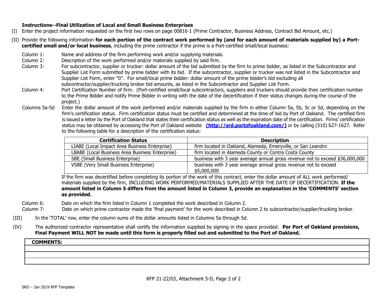#### **Instructions--Final Utilization of Local and Small Business Enterprises**

- (I) Enter the project information requested on the first two rows on page 00816-1 (Prime Contractor, Business Address, Contract Bid Amount, etc.)
- (II) Provide the following information **for each portion of the contract work performed by (and for each amount of materials supplied by) a Portcertified small and/or local business**, including the prime contractor if the prime is a Port-certified small/local business:
	- Column 1: Name and address of the firm performing work and/or supplying materials.
	- Column 2: Description of the work performed and/or materials supplied by said firm.
	- Column 3: For subcontractor, supplier or trucker: dollar amount of the bid submitted by the firm to prime bidder, as listed in the Subcontractor and Supplier List Form submitted by prime bidder with its bid. If the subcontractor, supplier or trucker was not listed in the Subcontractor and Supplier List Form, enter "0". For small/local prime bidder: dollar amount of the prime bidder's bid excluding all subcontractor/supplier/trucking broker bid amounts, as listed in the Subcontractor and Supplier List Form.
	- Column 4: Port Certification Number of firm. (Port-certified small/local subcontractors, suppliers and truckers should provide their certification number to the Prime Bidder and notify Prime Bidder in writing with the date of the decertification if their status changes during the course of the project.)
	- Columns 5a-5d Enter the dollar amount of the work performed and/or materials supplied by the firm in either Column 5a, 5b, 5c or 5d, depending on the firm's certification status. Firm certification status must be certified and determined at the time of bid by Port of Oakland. The certified firm is issued a letter by the Port of Oakland that states their certification status as well as the expiration date of the certification. Firms' certification status may be obtained by accessing the Port of Oakland website **(http://srd.portofoakland.com/)** or by calling (510) 627-1627. Refer to the following table for a description of the certification status:

| <b>Certification Status</b>                     | <b>Description</b>                                                           |
|-------------------------------------------------|------------------------------------------------------------------------------|
| LIABE (Local Impact Area Business Enterprise)   | firm located in Oakland, Alameda, Emeryville, or San Leandro                 |
| LBABE (Local Business Area Business Enterprise) | firm located in Alameda County or Contra Costa County                        |
| SBE (Small Business Enterprise)                 | business with 3 year average annual gross revenue not to exceed \$36,000,000 |
| VSBE (Very Small Business Enterprise)           | business with 3 year average annual gross revenue not to exceed              |
|                                                 | \$5,000,000                                                                  |

If the firm was decertified before completing its portion of the work of this contract, enter the dollar amount of ALL work performed/ materials supplied by the firm, INCLUDING WORK PERFORMED/MATERIALS SUPPLIED AFTER THE DATE OF DECERTIFICATION. **If the amount listed in Column 5 differs from the amount listed in Column 3, provide an explanation in the 'COMMENTS' section as provided.**

Column 6: Date on which the firm listed in Column 1 completed the work described in Column 2.

Column 7: Date on which prime contractor made the 'final payment' for the work described in Column 2 to subcontractor/supplier/trucking broker.

- (III) In the 'TOTAL' row, enter the column sums of the dollar amounts listed in Columns 5a through 5d.
- (IV) The authorized contractor representative shall certify the information supplied by signing in the space provided. **Per Port of Oakland provisions, Final Payment WILL NOT be made until this form is properly filled out and submitted to the Port of Oakland.**

#### **COMMENTS:**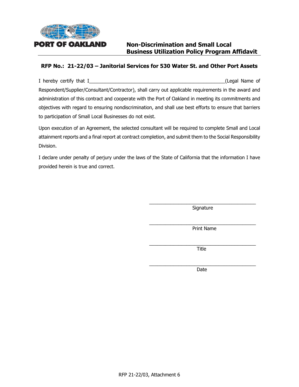

# **Non-Discrimination and Small Local Business Utilization Policy Program Affidavit**

## **RFP No.: 21-22/03 – Janitorial Services for 530 Water St. and Other Port Assets**

I hereby certify that I and I contained the state of the state of the state of the state of the state of the state of the state of the state of the state of the state of the state of the state of the state of the state of Respondent/Supplier/Consultant/Contractor), shall carry out applicable requirements in the award and administration of this contract and cooperate with the Port of Oakland in meeting its commitments and objectives with regard to ensuring nondiscrimination, and shall use best efforts to ensure that barriers to participation of Small Local Businesses do not exist.

Upon execution of an Agreement, the selected consultant will be required to complete Small and Local attainment reports and a final report at contract completion, and submit them to the Social Responsibility Division.

I declare under penalty of perjury under the laws of the State of California that the information I have provided herein is true and correct.

> \_\_\_\_\_\_\_\_\_\_\_\_\_\_\_\_\_\_\_\_\_\_\_\_\_\_\_\_\_\_\_\_\_\_\_\_\_\_\_\_ Signature

> $\mathcal{L}_\text{max}$  and  $\mathcal{L}_\text{max}$  and  $\mathcal{L}_\text{max}$  and  $\mathcal{L}_\text{max}$ Print Name

> \_\_\_\_\_\_\_\_\_\_\_\_\_\_\_\_\_\_\_\_\_\_\_\_\_\_\_\_\_\_\_\_\_\_\_\_\_\_\_\_ Title

> $\mathcal{L}_\text{max}$  and  $\mathcal{L}_\text{max}$  and  $\mathcal{L}_\text{max}$  and  $\mathcal{L}_\text{max}$ Date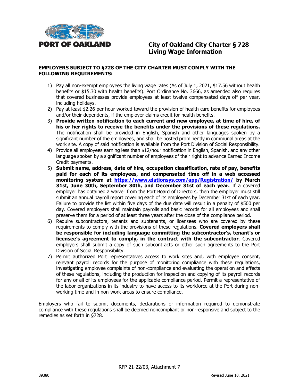

#### **EMPLOYERS SUBJECT TO §728 OF THE CITY CHARTER MUST COMPLY WITH THE FOLLOWING REQUIREMENTS:**

- 1) Pay all non-exempt employees the living wage rates (As of July 1, 2021, \$17.56 without health benefits or \$15.30 with health benefits). Port Ordinance No. 3666, as amended also requires that covered businesses provide employees at least twelve compensated days off per year, including holidays.
- 2) Pay at least \$2.26 per hour worked toward the provision of health care benefits for employees and/or their dependents, if the employer claims credit for health benefits.
- 3) **Provide written notification to each current and new employee, at time of hire, of his or her rights to receive the benefits under the provisions of these regulations.** The notification shall be provided in English, Spanish and other languages spoken by a significant number of the employees, and shall be posted prominently in communal areas at the work site. A copy of said notification is available from the Port Division of Social Responsibility.
- 4) Provide all employees earning less than \$12/hour notification in English, Spanish, and any other language spoken by a significant number of employees of their right to advance Earned Income Credit payments.
- 5) **Submit name, address, date of hire, occupation classification, rate of pay, benefits paid for each of its employees, and compensated time off in a web accessed monitoring system at <https://www.elationsys.com/app/Registration/> by March 31st, June 30th, September 30th, and December 31st of each year.** If a covered employer has obtained a waiver from the Port Board of Directors, then the employer must still submit an annual payroll report covering each of its employees by December 31st of each year. Failure to provide the list within five days of the due date will result in a penalty of \$500 per day. Covered employers shall maintain payrolls and basic records for all employees and shall preserve them for a period of at least three years after the close of the compliance period.
- 6) Require subcontractors, tenants and subtenants, or licensees who are covered by these requirements to comply with the provisions of these regulations. **Covered employers shall be responsible for including language committing the subcontractor's, tenant's or licensee's agreement to comply, in the contract with the subcontractor**. Covered employers shall submit a copy of such subcontracts or other such agreements to the Port Division of Social Responsibility.
- 7) Permit authorized Port representatives access to work sites and, with employee consent, relevant payroll records for the purpose of monitoring compliance with these regulations, investigating employee complaints of non-compliance and evaluating the operation and effects of these regulations, including the production for inspection and copying of its payroll records for any or all of its employees for the applicable compliance period. Permit a representative of the labor organizations in its industry to have access to its workforce at the Port during nonworking time and in non-work areas to ensure compliance.

Employers who fail to submit documents, declarations or information required to demonstrate compliance with these regulations shall be deemed noncompliant or non-responsive and subject to the remedies as set forth in §728.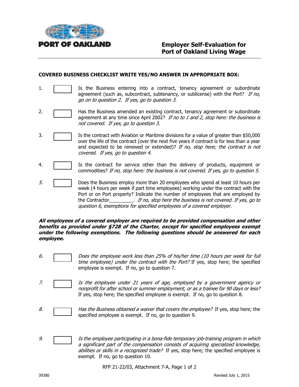

#### **COVERED BUSINESS CHECKLIST WRITE YES/NO ANSWER IN APPROPRIATE BOX:**

- 1. **It is the Business entering into a contract, tenancy agreement or subordinate** agreement (such as, subcontract, subtenancy, or sublicense) with the Port? If no, go on to question 2. If yes, go to question 3.
- 2. **Has the Business amended an existing contract, tenancy agreement or subordinate** agreement at any time since April 2002? If no to 1 and 2, stop here: the business is not covered. If yes, go to question 3.
- 3. **In Fig. 2.** Is the contract with Aviation or Maritime divisions for a value of greater than \$50,000 over the life of the contract (over the next five years if contract is for less than a year and expected to be renewed or extended)? If no, stop here; the contract is not covered. If yes, go to question 4.
- 4. Is the contract for service other than the delivery of products, equipment or commodities? If no, stop here: the business is not covered. If yes, go to question 5.
- 5. Does the Business employ more than 20 employees who spend at least 10 hours per week (4 hours per week if part time employees) working under the contract with the Port or on Port property? Indicate the number of employees that are employed by the Contractor entirely in the Contractor contractor the Susiness is not covered. If yes, go to question 6, exemptions for specified employees of a covered employer.

#### **All employees of a covered employer are required to be provided compensation and other benefits as provided under §728 of the Charter, except for specified employees exempt under the following exemptions. The following questions should be answered for each employee.**

- 6. Does the employee work less than 25% of his/her time (10 hours per week for full time employee) under the contract with the Port? If yes, stop here; the specified employee is exempt. If no, go to question 7.
- 7. The Is the employee under 21 years of age, employed by a government agency or nonprofit for after school or summer employment, or as a trainee for 90 days or less? If yes, stop here; the specified employee is exempt. If no, go to question 8.
- 8.  $\Box$  Has the Business obtained a waiver that covers the employee? If yes, stop here; the specified employee is exempt. If no, go to question 9.
- 9. **In the employee participating in a bona-fide temporary job-training program in which** a significant part of the compensation consists of acquiring specialized knowledge, abilities or skills in a recognized trade? If yes, stop here; the specified employee is exempt. If no, go to question 10.

RFP 21-22/03, Attachment 7-A, Page 1 of 2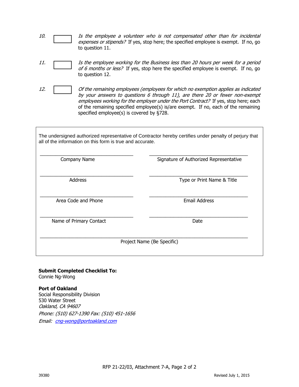- 10. **If the employee a volunteer who is not compensated other than for incidental** expenses or stipends? If yes, stop here; the specified employee is exempt. If no, go to question 11.
- 11. Is the employee working for the Business less than 20 hours per week for a period of 6 months or less? If yes, stop here the specified employee is exempt. If no, go to question 12.
- 

12. Of the remaining employees (employees for which no exemption applies as indicated by your answers to questions 6 through 11), are there 20 or fewer non-exempt employees working for the employer under the Port Contract? If yes, stop here; each of the remaining specified employee(s) is/are exempt. If no, each of the remaining specified employee(s) is covered by §728.

The undersigned authorized representative of Contractor hereby certifies under penalty of perjury that all of the information on this form is true and accurate.

| Company Name            | Signature of Authorized Representative |
|-------------------------|----------------------------------------|
| <b>Address</b>          | Type or Print Name & Title             |
| Area Code and Phone     | <b>Email Address</b>                   |
| Name of Primary Contact | Date                                   |
|                         | Project Name (Be Specific)             |

# **Submit Completed Checklist To:**

Connie Ng-Wong

#### **Port of Oakland**

Social Responsibility Division 530 Water Street Oakland, CA 94607 Phone: (510) 627-1390 Fax: (510) 451-1656 Email: [cng-wong@portoakland.com](mailto:cng-wong@portoakland.com)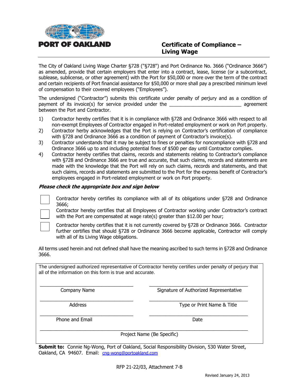

# **Certificate of Compliance – Living Wage**

The City of Oakland Living Wage Charter §728 ("§728") and Port Ordinance No. 3666 ("Ordinance 3666") as amended, provide that certain employers that enter into a contract, lease, license (or a subcontract, sublease, sublicense, or other agreement) with the Port for \$50,000 or more over the term of the contract and certain recipients of Port financial assistance for \$50,000 or more shall pay a prescribed minimum level of compensation to their covered employees ("Employees").

The undersigned ("Contractor") submits this certificate under penalty of perjury and as a condition of payment of its invoice(s) for service provided under the **Example 2** agreement between the Port and Contractor.

- 1) Contractor hereby certifies that it is in compliance with §728 and Ordinance 3666 with respect to all non-exempt Employees of Contractor engaged in Port-related employment or work on Port property.
- 2) Contractor herby acknowledges that the Port is relying on Contractor's certification of compliance with §728 and Ordinance 3666 as a condition of payment of Contractor's invoice(s).
- 3) Contractor understands that it may be subject to fines or penalties for noncompliance with §728 and Ordinance 3666 up to and including potential fines of \$500 per day until Contractor complies.
- 4) Contractor hereby certifies that claims, records and statements relating to Contractor's compliance with §728 and Ordinance 3666 are true and accurate, that such claims, records and statements are made with the knowledge that the Port will rely on such claims, records and statements, and that such claims, records and statements are submitted to the Port for the express benefit of Contractor's employees engaged in Port-related employment or work on Port property.

#### **Please check the appropriate box and sign below**



Contractor hereby certifies its compliance with all of its obligations under §728 and Ordinance 3666;

Contractor hereby certifies that all Employees of Contractor working under Contractor's contract with the Port are compensated at wage rate(s) greater than \$12.00 per hour;



Contractor hereby certifies that it is not currently covered by §728 or Ordinance 3666. Contractor further certifies that should §728 or Ordinance 3666 become applicable, Contractor will comply with all of its Living Wage obligations.

All terms used herein and not defined shall have the meaning ascribed to such terms in §728 and Ordinance 3666.

The undersigned authorized representative of Contractor hereby certifies under penalty of perjury that all of the information on this form is true and accurate.

\_\_\_\_\_\_\_\_\_\_\_\_\_\_\_\_\_\_\_\_\_\_\_\_\_\_\_\_\_\_\_\_\_\_\_ \_\_\_\_\_\_\_\_\_\_\_\_\_\_\_\_\_\_\_\_\_\_\_\_\_\_\_\_\_\_\_\_\_\_\_\_\_

\_\_\_\_\_\_\_\_\_\_\_\_\_\_\_\_\_\_\_\_\_\_\_\_\_\_\_\_\_\_\_\_\_\_\_ \_\_\_\_\_\_\_\_\_\_\_\_\_\_\_\_\_\_\_\_\_\_\_\_\_\_\_\_\_\_\_\_\_\_\_\_\_

\_\_\_\_\_\_\_\_\_\_\_\_\_\_\_\_\_\_\_\_\_\_\_\_\_\_\_\_\_\_\_\_\_\_\_ \_\_\_\_\_\_\_\_\_\_\_\_\_\_\_\_\_\_\_\_\_\_\_\_\_\_\_\_\_\_\_\_\_\_\_\_\_

 $\_$  , and the set of the set of the set of the set of the set of the set of the set of the set of the set of the set of the set of the set of the set of the set of the set of the set of the set of the set of the set of th

Company Name The Signature of Authorized Representative

Address **Address** Type or Print Name & Title

Phone and Email Date and Email Date and Email Date and Date and Date and Date and Date and Date and Date and D

Project Name (Be Specific)

**Submit to:** Connie Ng-Wong, Port of Oakland, Social Responsibility Division, 530 Water Street, Oakland, CA 94607. Email: [cng-wong@portoakland.com](mailto:cng-wong@portoakland.com)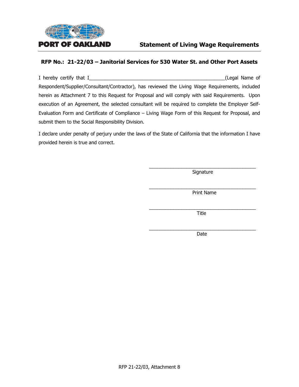

### **RFP No.: 21-22/03 – Janitorial Services for 530 Water St. and Other Port Assets**

I hereby certify that I\_\_\_\_\_\_\_\_\_\_\_\_\_\_\_\_\_\_\_\_\_\_\_\_\_\_\_\_\_\_\_\_\_\_\_\_\_\_\_\_\_\_\_\_\_\_\_\_\_\_\_(Legal Name of Respondent/Supplier/Consultant/Contractor), has reviewed the Living Wage Requirements, included herein as Attachment 7 to this Request for Proposal and will comply with said Requirements. Upon execution of an Agreement, the selected consultant will be required to complete the Employer Self-Evaluation Form and Certificate of Compliance – Living Wage Form of this Request for Proposal, and submit them to the Social Responsibility Division.

I declare under penalty of perjury under the laws of the State of California that the information I have provided herein is true and correct.

> \_\_\_\_\_\_\_\_\_\_\_\_\_\_\_\_\_\_\_\_\_\_\_\_\_\_\_\_\_\_\_\_\_\_\_\_\_\_\_\_ Signature

> \_\_\_\_\_\_\_\_\_\_\_\_\_\_\_\_\_\_\_\_\_\_\_\_\_\_\_\_\_\_\_\_\_\_\_\_\_\_\_\_ Print Name

> \_\_\_\_\_\_\_\_\_\_\_\_\_\_\_\_\_\_\_\_\_\_\_\_\_\_\_\_\_\_\_\_\_\_\_\_\_\_\_\_ Title

> \_\_\_\_\_\_\_\_\_\_\_\_\_\_\_\_\_\_\_\_\_\_\_\_\_\_\_\_\_\_\_\_\_\_\_\_\_\_\_\_ Date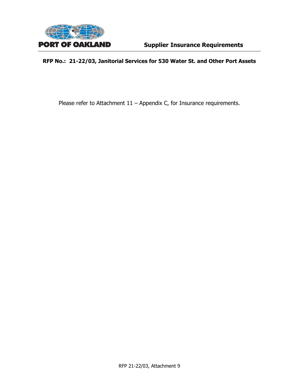

# **RFP No.: 21-22/03, Janitorial Services for 530 Water St. and Other Port Assets**

Please refer to Attachment 11 - Appendix C, for Insurance requirements.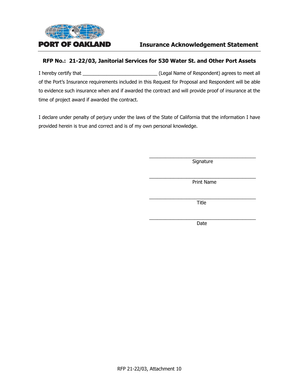

## **RFP No.: 21-22/03, Janitorial Services for 530 Water St. and Other Port Assets**

I hereby certify that  $\qquad \qquad$   $\qquad \qquad$  (Legal Name of Respondent) agrees to meet all of the Port's Insurance requirements included in this Request for Proposal and Respondent will be able to evidence such insurance when and if awarded the contract and will provide proof of insurance at the time of project award if awarded the contract.

I declare under penalty of perjury under the laws of the State of California that the information I have provided herein is true and correct and is of my own personal knowledge.

> \_\_\_\_\_\_\_\_\_\_\_\_\_\_\_\_\_\_\_\_\_\_\_\_\_\_\_\_\_\_\_\_\_\_\_\_\_\_\_\_ **Signature**

> \_\_\_\_\_\_\_\_\_\_\_\_\_\_\_\_\_\_\_\_\_\_\_\_\_\_\_\_\_\_\_\_\_\_\_\_\_\_\_\_ Print Name

> \_\_\_\_\_\_\_\_\_\_\_\_\_\_\_\_\_\_\_\_\_\_\_\_\_\_\_\_\_\_\_\_\_\_\_\_\_\_\_\_ Title

> \_\_\_\_\_\_\_\_\_\_\_\_\_\_\_\_\_\_\_\_\_\_\_\_\_\_\_\_\_\_\_\_\_\_\_\_\_\_\_\_ Date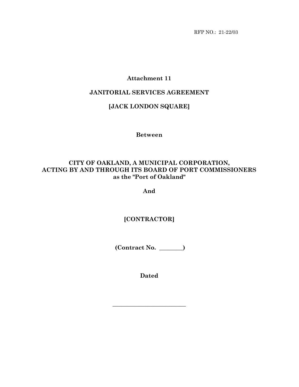RFP NO.: 21-22/03

# **Attachment 11**

# **JANITORIAL SERVICES AGREEMENT**

# **[JACK LONDON SQUARE]**

**Between**

# **CITY OF OAKLAND, A MUNICIPAL CORPORATION, ACTING BY AND THROUGH ITS BOARD OF PORT COMMISSIONERS as the "Port of Oakland"**

**And**

**[CONTRACTOR]**

**(Contract No. \_\_\_\_\_\_\_\_)**

**Dated**

**\_\_\_\_\_\_\_\_\_\_\_\_\_\_\_\_\_\_\_\_\_\_\_\_\_**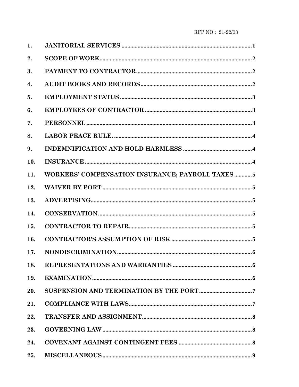| 1.  |                                                  |
|-----|--------------------------------------------------|
| 2.  |                                                  |
| 3.  |                                                  |
| 4.  |                                                  |
| 5.  |                                                  |
| 6.  |                                                  |
| 7.  |                                                  |
| 8.  |                                                  |
| 9.  |                                                  |
| 10. |                                                  |
| 11. | WORKERS' COMPENSATION INSURANCE; PAYROLL TAXES 5 |
| 12. |                                                  |
| 13. |                                                  |
| 14. |                                                  |
| 15. |                                                  |
| 16. |                                                  |
| 17. |                                                  |
| 18. |                                                  |
| 19. |                                                  |
| 20. |                                                  |
| 21. |                                                  |
| 22. |                                                  |
| 23. |                                                  |
| 24. |                                                  |
| 25. |                                                  |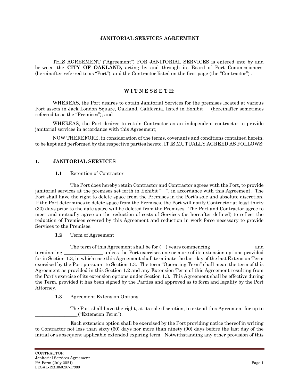#### **JANITORIAL SERVICES AGREEMENT**

THIS AGREEMENT ("Agreement") FOR JANITORIAL SERVICES is entered into by and between the **CITY OF OAKLAND,** acting by and through its Board of Port Commissioners, (hereinafter referred to as "Port"), and the Contractor listed on the first page (the "Contractor") .

#### **W I T N E S S E T H:**

WHEREAS, the Port desires to obtain Janitorial Services for the premises located at various Port assets in Jack London Square, Oakland, California, listed in Exhibit \_\_ (hereinafter sometimes referred to as the "Premises"); and

WHEREAS, the Port desires to retain Contractor as an independent contractor to provide janitorial services in accordance with this Agreement;

NOW THEREFORE, in consideration of the terms, covenants and conditions contained herein, to be kept and performed by the respective parties hereto, IT IS MUTUALLY AGREED AS FOLLOWS:

#### <span id="page-43-0"></span>**1. JANITORIAL SERVICES**

#### **1.1** Retention of Contractor

The Port does hereby retain Contractor and Contractor agrees with the Port, to provide janitorial services at the premises set forth in Exhibit "\_", in accordance with this Agreement. The Port shall have the right to delete space from the Premises in the Port's sole and absolute discretion. If the Port determines to delete space from the Premises, the Port will notify Contractor at least thirty (30) days prior to the date space will be deleted from the Premises. The Port and Contractor agree to meet and mutually agree on the reduction of costs of Services (as hereafter defined) to reflect the reduction of Premises covered by this Agreement and reduction in work force necessary to provide Services to the Premises.

#### **1.2** Term of Agreement

The term of this Agreement shall be for (\_\_) years commencing \_\_\_\_\_\_\_\_\_\_\_\_\_\_\_\_\_\_and terminating \_\_\_\_\_\_\_\_\_\_\_\_\_\_\_\_ unless the Port exercises one or more of its extension options provided for in Section 1.3, in which case this Agreement shall terminate the last day of the last Extension Term exercised by the Port pursuant to Section 1.3. The term "Operating Term" shall mean the term of this Agreement as provided in this Section 1.2 and any Extension Term of this Agreement resulting from the Port's exercise of its extension options under Section 1.3. This Agreement shall be effective during the Term, provided it has been signed by the Parties and approved as to form and legality by the Port Attorney.

**1.3** Agreement Extension Options

The Port shall have the right, at its sole discretion, to extend this Agreement for up to \_\_\_\_\_\_\_\_\_\_\_\_\_\_\_\_\_ ("Extension Term").

Each extension option shall be exercised by the Port providing notice thereof in writing to Contractor not less than sixty (60) days nor more than ninety (90) days before the last day of the initial or subsequent applicable extended expiring term. Notwithstanding any other provision of this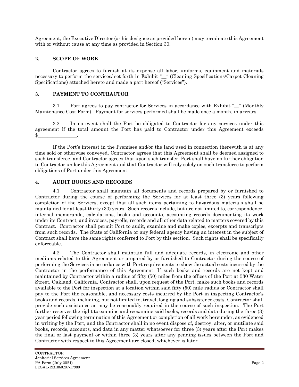Agreement, the Executive Director (or his designee as provided herein) may terminate this Agreement with or without cause at any time as provided in Section 30.

### <span id="page-44-0"></span>**2. SCOPE OF WORK**

Contractor agrees to furnish at its expense all labor, uniforms, equipment and materials necessary to perform the services/ set forth in Exhibit "\_\_" (Cleaning Specifications/Carpet Cleaning Specifications) attached hereto and made a part hereof ("Services").

#### <span id="page-44-1"></span>**3. PAYMENT TO CONTRACTOR**

3.1 Port agrees to pay contractor for Services in accordance with Exhibit " " (Monthly Maintenance Cost Form). Payment for services performed shall be made once a month, in arrears.

3.2 In no event shall the Port be obligated to Contractor for any services under this agreement if the total amount the Port has paid to Contractor under this Agreement exceeds  $\frac{1}{2}$ .

If the Port's interest in the Premises and/or the land used in connection therewith is at any time sold or otherwise conveyed, Contractor agrees that this Agreement shall be deemed assigned to such transferee, and Contractor agrees that upon such transfer, Port shall have no further obligation to Contractor under this Agreement and that Contractor will rely solely on such transferee to perform obligations of Port under this Agreement.

#### <span id="page-44-2"></span>**4. AUDIT BOOKS AND RECORDS**

4.1 Contractor shall maintain all documents and records prepared by or furnished to Contractor during the course of performing the Services for at least three (3) years following completion of the Services, except that all such items pertaining to hazardous materials shall be maintained for at least thirty (30) years. Such records include, but are not limited to, correspondence, internal memoranda, calculations, books and accounts, accounting records documenting its work under its Contract, and invoices, payrolls, records and all other data related to matters covered by this Contract. Contractor shall permit Port to audit, examine and make copies, excerpts and transcripts from such records. The State of California or any federal agency having an interest in the subject of Contract shall have the same rights conferred to Port by this section. Such rights shall be specifically enforceable.

4.2 The Contractor shall maintain full and adequate records, in electronic and other mediums related to this Agreement or prepared by or furnished to Contractor during the course of performing the Services in accordance with Port requirements to show the actual costs incurred by the Contractor in the performance of this Agreement. If such books and records are not kept and maintained by Contractor within a radius of fifty (50) miles from the offices of the Port at 530 Water Street, Oakland, California, Contractor shall, upon request of the Port, make such books and records available to the Port for inspection at a location within said fifty (50) mile radius or Contractor shall pay to the Port the reasonable, and necessary costs incurred by the Port in inspecting Contractor's books and records, including, but not limited to, travel, lodging and subsistence costs. Contractor shall provide such assistance as may be reasonably required in the course of such inspection. The Port further reserves the right to examine and reexamine said books, records and data during the three (3) year period following termination of this Agreement or completion of all work hereunder, as evidenced in writing by the Port, and the Contractor shall in no event dispose of, destroy, alter, or mutilate said books, records, accounts, and data in any matter whatsoever for three (3) years after the Port makes the final or last payment or within three (3) years after any pending issues between the Port and Contractor with respect to this Agreement are closed, whichever is later.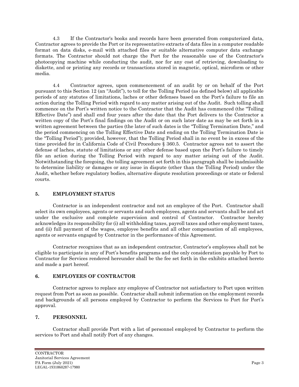4.3 If the Contractor's books and records have been generated from computerized data, Contractor agrees to provide the Port or its representative extracts of data files in a computer readable format on data disks, e-mail with attached files or suitable alternative computer data exchange formats. The Contractor should not charge the Port for the reasonable use of the Contractor's photocopying machine while conducting the audit, nor for any cost of retrieving, downloading to diskette, and or printing any records or transactions stored in magnetic, optical, microform or other media.

4.4 Contractor agrees, upon commencement of an audit by or on behalf of the Port pursuant to this Section 12 (an "Audit"), to toll for the Tolling Period (as defined below) all applicable periods of any statutes of limitations, laches or other defenses based on the Port's failure to file an action during the Tolling Period with regard to any matter arising out of the Audit. Such tolling shall commence on the Port's written notice to the Contractor that the Audit has commenced (the "Tolling Effective Date") and shall end four years after the date that the Port delivers to the Contractor a written copy of the Port's final findings on the Audit or on such later date as may be set forth in a written agreement between the parties (the later of such dates is the "Tolling Termination Date," and the period commencing on the Tolling Effective Date and ending on the Tolling Termination Date is the "Tolling Period"); provided, however, that the Tolling Period shall in no event be in excess of the time provided for in California Code of Civil Procedure § 360.5. Contractor agrees not to assert the defense of laches, statute of limitations or any other defense based upon the Port's failure to timely file an action during the Tolling Period with regard to any matter arising out of the Audit. Notwithstanding the foregoing, the tolling agreement set forth in this paragraph shall be inadmissible to determine liability or damages or any issue in dispute (other than the Tolling Period) under the Audit, whether before regulatory bodies, alternative dispute resolution proceedings or state or federal courts.

### <span id="page-45-0"></span>**5. EMPLOYMENT STATUS**

Contractor is an independent contractor and not an employee of the Port. Contractor shall select its own employees, agents or servants and such employees, agents and servants shall be and act under the exclusive and complete supervision and control of Contractor. Contractor hereby acknowledges its responsibility for (i) all withholding taxes, payroll taxes and other employment taxes, and (ii) full payment of the wages, employee benefits and all other compensation of all employees, agents or servants engaged by Contractor in the performance of this Agreement.

Contractor recognizes that as an independent contractor, Contractor's employees shall not be eligible to participate in any of Port's benefits programs and the only consideration payable by Port to Contractor for Services rendered hereunder shall be the fee set forth in the exhibits attached hereto and made a part hereof.

### <span id="page-45-1"></span>**6. EMPLOYEES OF CONTRACTOR**

Contractor agrees to replace any employee of Contractor not satisfactory to Port upon written request from Port as soon as possible. Contractor shall submit information on the employment records and backgrounds of all persons employed by Contractor to perform the Services to Port for Port's approval.

# <span id="page-45-2"></span>**7. PERSONNEL**

Contractor shall provide Port with a list of personnel employed by Contractor to perform the services to Port and shall notify Port of any changes.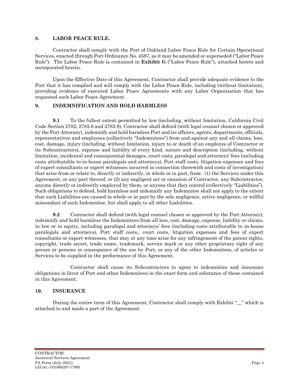#### <span id="page-46-0"></span>**8. LABOR PEACE RULE.**

Contractor shall comply with the Port of Oakland Labor Peace Rule for Certain Operational Services, enacted through Port Ordinance No. 4587, as it may be amended or superseded ("Labor Peace Rule"). The Labor Peace Rule is contained in **Exhibit G** ("Labor Peace Rule"), attached hereto and incorporated herein.

Upon the Effective Date of this Agreement, Contractor shall provide adequate evidence to the Port that it has complied and will comply with the Labor Peace Rule, including (without limitation), providing evidence of executed Labor Peace Agreements with any Labor Organization that has requested such Labor Peace Agreement.

#### <span id="page-46-1"></span>**9. INDEMNIFICATION AND HOLD HARMLESS**

**9.1** To the fullest extent permitted by law (including, without limitation, California Civil Code Section 2782, 2782.6 and 2782.8), Contractor shall defend (with legal counsel chosen or approved by the Port Attorney), indemnify and hold harmless Port and its officers, agents, departments, officials, representatives and employees (collectively "Indemnitees") from and against any and all claims, loss, cost, damage, injury (including, without limitation, injury to or death of an employee of Contractor or its Subcontractors), expense and liability of every kind, nature and description (including, without limitation, incidental and consequential damages, court costs, paralegal and attorneys' fees (including costs attributable to in-house paralegals and attorneys), Port staff costs, litigation expenses and fees of expert consultants or expert witnesses incurred in connection therewith and costs of investigation) that arise from or relate to, directly or indirectly, in whole or in part, from: (1) the Services under this Agreement, or any part thereof, or (2) any negligent act or omission of Contractor, any Subcontractor, anyone directly or indirectly employed by them, or anyone that they control (collectively "Liabilities"). Such obligations to defend, hold harmless and indemnify any Indemnitee shall not apply to the extent that such Liabilities are caused in whole or in part by the sole negligence, active negligence, or willful misconduct of such Indemnitee, but shall apply to all other Liabilities.

**9.2** Contractor shall defend (with legal counsel chosen or approved by the Port Attorney), indemnify and hold harmless the Indemnitees from all loss, cost, damage, expense, liability or claims, in law or in equity, including paralegal and attorneys' fees (including costs attributable to in-house paralegals and attorneys), Port staff costs,, court costs, litigation expenses and fees of expert consultants or expert witnesses, that may at any time arise for any infringement of the patent rights, copyright, trade secret, trade name, trademark, service mark or any other proprietary right of any person or persons in consequence of the use by Port, or any of the other Indemnitees, of articles or Services to be supplied in the performance of this Agreement.

Contractor shall cause its Subcontractors to agree to indemnities and insurance obligations in favor of Port and other Indemnitees in the exact form and substance of those contained in this Agreement.

#### <span id="page-46-2"></span>**10. INSURANCE**

During the entire term of this Agreement, Contractor shall comply with Exhibit "\_\_" which is attached to and made a part of the Agreement.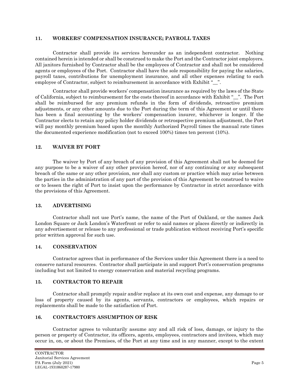#### <span id="page-47-0"></span>**11. WORKERS' COMPENSATION INSURANCE; PAYROLL TAXES**

Contractor shall provide its services hereunder as an independent contractor. Nothing contained herein is intended or shall be construed to make the Port and the Contractor joint employers. All janitors furnished by Contractor shall be the employees of Contractor and shall not be considered agents or employees of the Port. Contractor shall have the sole responsibility for paying the salaries, payroll taxes, contributions for unemployment insurance, and all other expenses relating to each employee of Contractor, subject to reimbursement in accordance with Exhibit "...".

Contractor shall provide workers' compensation insurance as required by the laws of the State of California, subject to reimbursement for the costs thereof in accordance with Exhibit "\_\_". The Port shall be reimbursed for any premium refunds in the form of dividends, retroactive premium adjustments, or any other amounts due to the Port during the term of this Agreement or until there has been a final accounting by the workers' compensation insurer, whichever is longer. If the Contractor elects to retain any policy holder dividends or retrospective premium adjustment, the Port will pay monthly premium based upon the monthly Authorized Payroll times the manual rate times the documented experience modification (not to exceed 100%) times ten percent (10%).

#### <span id="page-47-1"></span>**12. WAIVER BY PORT**

The waiver by Port of any breach of any provision of this Agreement shall not be deemed for any purpose to be a waiver of any other provision hereof, nor of any continuing or any subsequent breach of the same or any other provision, nor shall any custom or practice which may arise between the parties in the administration of any part of the provision of this Agreement be construed to waive or to lessen the right of Port to insist upon the performance by Contractor in strict accordance with the provisions of this Agreement.

#### <span id="page-47-2"></span>**13. ADVERTISING**

Contractor shall not use Port's name, the name of the Port of Oakland, or the names Jack London Square or Jack London's Waterfront or refer to said names or places directly or indirectly in any advertisement or release to any professional or trade publication without receiving Port's specific prior written approval for such use.

#### <span id="page-47-3"></span>**14. CONSERVATION**

Contractor agrees that in performance of the Services under this Agreement there is a need to conserve natural resources. Contractor shall participate in and support Port's conservation programs including but not limited to energy conservation and material recycling programs.

#### <span id="page-47-4"></span>**15. CONTRACTOR TO REPAIR**

Contractor shall promptly repair and/or replace at its own cost and expense, any damage to or loss of property caused by its agents, servants, contractors or employees, which repairs or replacements shall be made to the satisfaction of Port.

### <span id="page-47-5"></span>**16. CONTRACTOR'S ASSUMPTION OF RISK**

Contractor agrees to voluntarily assume any and all risk of loss, damage, or injury to the person or property of Contractor, its officers, agents, employees, contractors and invitees, which may occur in, on, or about the Premises, of the Port at any time and in any manner, except to the extent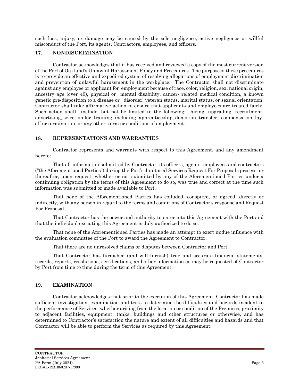such loss, injury, or damage may be caused by the sole negligence, active negligence or willful misconduct of the Port, its agents, Contractors, employees, and officers.

### <span id="page-48-0"></span>**17. NONDISCRIMINATION**

Contractor acknowledges that it has received and reviewed a copy of the most current version of the Port of Oakland's Unlawful Harassment Policy and Procedures. The purpose of these procedures is to provide an effective and expedited system of resolving allegations of employment discrimination and prevention of unlawful harassment in the workplace. The Contractor shall not discriminate against any employee or applicant for employment because of race, color, religion, sex, national origin, ancestry age (over 40), physical or mental disability, cancer- related medical condition, a known genetic pre-disposition to a disease or disorder, veteran status, marital status, or sexual orientation. Contractor shall take affirmative action to ensure that applicants and employees are treated fairly. Such action shall include, but not be limited to the following: hiring, upgrading, recruitment, advertising, selection for training, including apprenticeship, demotion, transfer, compensation, layoff or termination, or any other term or conditions of employment.

#### <span id="page-48-1"></span>**18. REPRESENTATIONS AND WARRANTIES**

Contractor represents and warrants with respect to this Agreement, and any amendment hereto:

That all information submitted by Contractor, its officers, agents, employees and contractors ("the Aforementioned Parties") during the Port's Janitorial Services Request For Proposals process, or thereafter, upon request, whether or not submitted by any of the Aforementioned Parties under a continuing obligation by the terms of this Agreement to do so, was true and correct at the time such information was submitted or made available to Port.

That none of the Aforementioned Parties has colluded, conspired, or agreed, directly or indirectly, with any person in regard to the terms and conditions of Contractor's response and Request For Proposal.

That Contractor has the power and authority to enter into this Agreement with the Port and that the individual executing this Agreement is duly authorized to do so.

That none of the Aforementioned Parties has made an attempt to exert undue influence with the evaluation committee of the Port to award the Agreement to Contractor.

That there are no unresolved claims or disputes between Contractor and Port.

That Contractor has furnished (and will furnish) true and accurate financial statements, records, reports, resolutions, certifications, and other information as may be requested of Contractor by Port from time to time during the term of this Agreement.

### <span id="page-48-2"></span>**19. EXAMINATION**

Contractor acknowledges that prior to the execution of this Agreement, Contractor has made sufficient investigation, examination and tests to determine the difficulties and hazards incident to the performance of Services, whether arising from the location or condition of the Premises, proximity to adjacent facilities, equipment, tanks, buildings and other structures or otherwise, and has determined to Contractor's satisfaction the nature and extent of all difficulties and hazards and that Contractor will be able to perform the Services as required by this Agreement.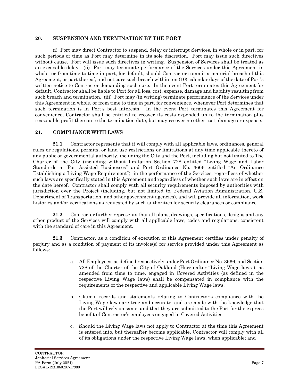#### <span id="page-49-0"></span>**20. SUSPENSION AND TERMINATION BY THE PORT**

(i) Port may direct Contractor to suspend, delay or interrupt Services, in whole or in part, for such periods of time as Port may determine in its sole discretion. Port may issue such directives without cause. Port will issue such directives in writing. Suspension of Services shall be treated as an excusable delay. (ii) Port may terminate performance of the Services under this Agreement in whole, or from time to time in part, for default, should Contractor commit a material breach of this Agreement, or part thereof, and not cure such breach within ten (10) calendar days of the date of Port's written notice to Contractor demanding such cure. In the event Port terminates this Agreement for default, Contractor shall be liable to Port for all loss, cost, expense, damage and liability resulting from such breach and termination. (iii) Port may (in writing) terminate performance of the Services under this Agreement in whole, or from time to time in part, for convenience, whenever Port determines that such termination is in Port's best interests. In the event Port terminates this Agreement for convenience, Contractor shall be entitled to recover its costs expended up to the termination plus reasonable profit thereon to the termination date, but may recover no other cost, damage or expense.

#### <span id="page-49-1"></span>**21. COMPLIANCE WITH LAWS**

**21.1** Contractor represents that it will comply with all applicable laws, ordinances, general rules or regulations, permits, or land use restrictions or limitations at any time applicable thereto of any public or governmental authority, including the City and the Port, including but not limited to The Charter of the City (including without limitation Section 728 entitled "Living Wage and Labor Standards at Port-Assisted Businesses" and Port Ordinance No. 3666 entitled "An Ordinance Establishing a Living Wage Requirement") in the performance of the Services, regardless of whether such laws are specifically stated in this Agreement and regardless of whether such laws are in effect on the date hereof. Contractor shall comply with all security requirements imposed by authorities with jurisdiction over the Project (including, but not limited to, Federal Aviation Administration, U.S. Department of Transportation, and other government agencies), and will provide all information, work histories and/or verifications as requested by such authorities for security clearances or compliance.

**21.2** Contractor further represents that all plans, drawings, specifications, designs and any other product of the Services will comply with all applicable laws, codes and regulations, consistent with the standard of care in this Agreement.

**21.3** Contractor, as a condition of execution of this Agreement certifies under penalty of perjury and as a condition of payment of its invoice(s) for service provided under this Agreement as follows:

- a. All Employees, as defined respectively under Port Ordinance No. 3666, and Section 728 of the Charter of the City of Oakland (Hereinafter "Living Wage laws"), as amended from time to time, engaged in Covered Activities (as defined in the respective Living Wage laws) shall be compensated in compliance with the requirements of the respective and applicable Living Wage laws:
- b. Claims, records and statements relating to Contractor's compliance with the Living Wage laws are true and accurate, and are made with the knowledge that the Port will rely on same, and that they are submitted to the Port for the express benefit of Contractor's employees engaged in Covered Activities;
- c. Should the Living Wage laws not apply to Contractor at the time this Agreement is entered into, but thereafter become applicable, Contractor will comply with all of its obligations under the respective Living Wage laws, when applicable; and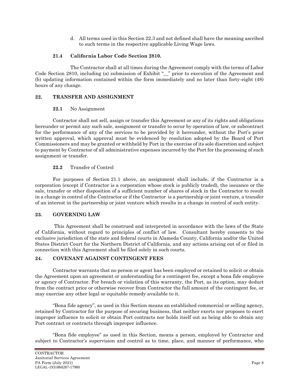d. All terms used in this Section 22.3 and not defined shall have the meaning ascribed to such terms in the respective applicable Living Wage laws.

#### **21.4 California Labor Code Section 2810.**

The Contractor shall at all times during the Agreement comply with the terms of Labor Code Section 2810, including (a) submission of Exhibit "\_\_" prior to execution of the Agreement and (b) updating information contained within the form immediately and no later than forty-eight (48) hours of any change.

### <span id="page-50-0"></span>**22. TRANSFER AND ASSIGNMENT**

### **22.1** No Assignment

Contractor shall not sell, assign or transfer this Agreement or any of its rights and obligations hereunder or permit any such sale, assignment or transfer to occur by operation of law, or subcontract for the performance of any of the services to be provided by it hereunder, without the Port's prior written approval, which approval must be evidenced by resolution adopted by the Board of Port Commissioners and may be granted or withheld by Port in the exercise of its sole discretion and subject to payment by Contractor of all administrative expenses incurred by the Port for the processing of such assignment or transfer.

### **22.2** Transfer of Control

For purposes of Section 21.1 above, an assignment shall include, if the Contractor is a corporation (except if Contractor is a corporation whose stock is publicly traded), the issuance or the sale, transfer or other disposition of a sufficient number of shares of stock in the Contractor to result in a change in control of the Contractor or if the Contractor is a partnership or joint venture, a transfer of an interest in the partnership or joint venture which results in a change in control of such entity.

### <span id="page-50-1"></span>**23. GOVERNING LAW**

This Agreement shall be construed and interpreted in accordance with the laws of the State of California, without regard to principles of conflict of law. Consultant hereby consents to the exclusive jurisdiction of the state and federal courts in Alameda County, California and/or the United States District Court for the Northern District of California, and any actions arising out of or filed in connection with this Agreement shall be filed solely in such courts.

### <span id="page-50-2"></span>**24. COVENANT AGAINST CONTINGENT FEES**

Contractor warrants that no person or agent has been employed or retained to solicit or obtain the Agreement upon an agreement or understanding for a contingent fee, except a bona fide employee or agency of Contractor. For breach or violation of this warranty, the Port, as its option, may deduct from the contract price or otherwise recover from Contractor the full amount of the contingent fee, or may exercise any other legal or equitable remedy available to it.

"Bona fide agency", as used in this Section means an established commercial or selling agency, retained by Contractor for the purpose of securing business, that neither exerts nor proposes to exert improper influence to solicit or obtain Port contracts nor holds itself out as being able to obtain any Port contract or contracts through improper influence.

"Bona fide employee" as used in this Section, means a person, employed by Contractor and subject to Contractor's supervision and control as to time, place, and manner of performance, who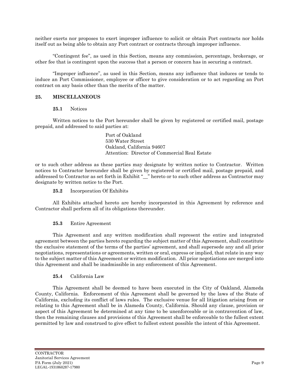neither exerts nor proposes to exert improper influence to solicit or obtain Port contracts nor holds itself out as being able to obtain any Port contract or contracts through improper influence.

"Contingent fee", as used in this Section, means any commission, percentage, brokerage, or other fee that is contingent upon the success that a person or concern has in securing a contract.

"Improper influence", as used in this Section, means any influence that induces or tends to induce an Port Commissioner, employee or officer to give consideration or to act regarding an Port contract on any basis other than the merits of the matter.

#### <span id="page-51-0"></span>**25. MISCELLANEOUS**

#### **25.1** Notices

Written notices to the Port hereunder shall be given by registered or certified mail, postage prepaid, and addressed to said parties at:

> Port of Oakland 530 Water Street Oakland, California 94607 Attention: Director of Commercial Real Estate

or to such other address as these parties may designate by written notice to Contractor. Written notices to Contractor hereunder shall be given by registered or certified mail, postage prepaid, and addressed to Contractor as set forth in Exhibit "\_\_" hereto or to such other address as Contractor may designate by written notice to the Port.

#### **25.2** Incorporation Of Exhibits

All Exhibits attached hereto are hereby incorporated in this Agreement by reference and Contractor shall perform all of its obligations thereunder.

#### **25.3** Entire Agreement

This Agreement and any written modification shall represent the entire and integrated agreement between the parties hereto regarding the subject matter of this Agreement, shall constitute the exclusive statement of the terms of the parties' agreement, and shall supersede any and all prior negotiations, representations or agreements, written or oral, express or implied, that relate in any way to the subject matter of this Agreement or written modification. All prior negotiations are merged into this Agreement and shall be inadmissible in any enforcement of this Agreement.

#### **25.4** California Law

This Agreement shall be deemed to have been executed in the City of Oakland, Alameda County, California. Enforcement of this Agreement shall be governed by the laws of the State of California, excluding its conflict of laws rules. The exclusive venue for all litigation arising from or relating to this Agreement shall be in Alameda County, California. Should any clause, provision or aspect of this Agreement be determined at any time to be unenforceable or in contravention of law, then the remaining clauses and provisions of this Agreement shall be enforceable to the fullest extent permitted by law and construed to give effect to fullest extent possible the intent of this Agreement.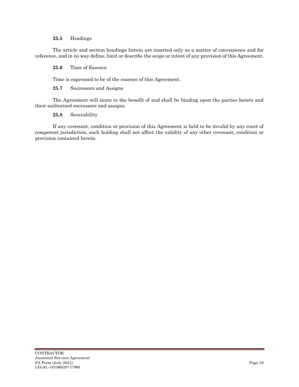#### **25.5** Headings

The article and section headings herein are inserted only as a matter of convenience and for reference, and in no way define, limit or describe the scope or intent of any provision of this Agreement.

#### **25.6** Time of Essence

Time is expressed to be of the essence of this Agreement.

**25.7** Successors and Assigns

The Agreement will inure to the benefit of and shall be binding upon the parties hereto and their authorized successors and assigns.

#### **25.8** Severability

If any covenant, condition or provision of this Agreement is held to be invalid by any court of competent jurisdiction, such holding shall not affect the validity of any other covenant, condition or provision contained herein.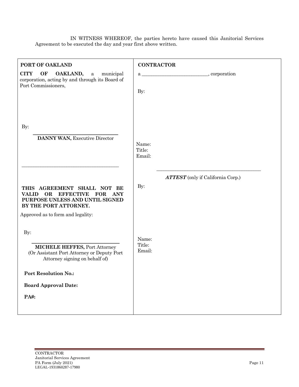IN WITNESS WHEREOF, the parties hereto have caused this Janitorial Services Agreement to be executed the day and year first above written.

| PORT OF OAKLAND                                                                                                                                                                             | <b>CONTRACTOR</b>                               |
|---------------------------------------------------------------------------------------------------------------------------------------------------------------------------------------------|-------------------------------------------------|
| <b>CITY</b><br>OF<br>OAKLAND,<br>municipal<br>$\rm{a}$<br>corporation, acting by and through its Board of<br>Port Commissioners,                                                            | By:                                             |
| By:<br>DANNY WAN, Executive Director                                                                                                                                                        | Name:<br>Title:<br>Email:                       |
| THIS AGREEMENT SHALL NOT BE<br><b>EFFECTIVE</b><br><b>FOR</b><br>ANY<br><b>VALID</b><br>OR<br>PURPOSE UNLESS AND UNTIL SIGNED<br>BY THE PORT ATTORNEY.<br>Approved as to form and legality: | <b>ATTEST</b> (only if California Corp.)<br>By: |
| By:<br><b>MICHELE HEFFES, Port Attorney</b><br>(Or Assistant Port Attorney or Deputy Port<br>Attorney signing on behalf of)                                                                 | Name:<br>Title:<br>Email:                       |
| <b>Port Resolution No.:</b><br><b>Board Approval Date:</b><br>PA#:                                                                                                                          |                                                 |
|                                                                                                                                                                                             |                                                 |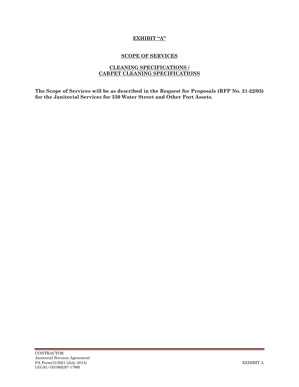### **EXHIBIT "A"**

#### **SCOPE OF SERVICES**

#### **CLEANING SPECIFICATIONS / CARPET CLEANING SPECIFICATIONS**

**The Scope of Services will be as described in the Request for Proposals (RFP No. 21-22/03) for the Janitorial Services for 530 Water Street and Other Port Assets.**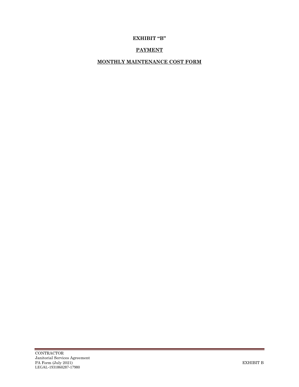# **EXHIBIT "B"**

# **PAYMENT**

# **MONTHLY MAINTENANCE COST FORM**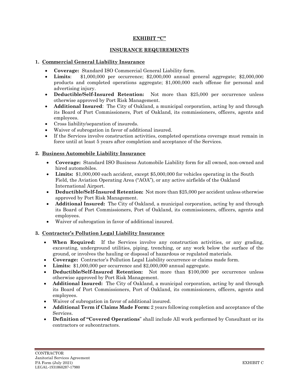#### **EXHIBIT "C"**

#### **INSURANCE REQUIREMENTS**

#### **1. Commercial General Liability Insurance**

- **Coverage:** Standard ISO Commercial General Liability form.
- **Limits**: \$1,000,000 per occurrence; \$2,000,000 annual general aggregate; \$2,000,000 products and completed operations aggregate; \$1,000,000 each offense for personal and advertising injury.
- **Deductible/Self-Insured Retention:** Not more than \$25,000 per occurrence unless otherwise approved by Port Risk Management.
- **Additional Insured**: The City of Oakland, a municipal corporation, acting by and through its Board of Port Commissioners, Port of Oakland, its commissioners, officers, agents and employees.
- Cross liability/separation of insureds.
- Waiver of subrogation in favor of additional insured.
- If the Services involve construction activities, completed operations coverage must remain in force until at least 5 years after completion and acceptance of the Services.

#### **2. Business Automobile Liability Insurance**

- **Coverage:** Standard ISO Business Automobile Liability form for all owned, non-owned and hired automobiles.
- **Limits:** \$1,000,000 each accident, except \$5,000,000 for vehicles operating in the South Field, the Aviation Operating Area ("AOA"), or any active airfields of the Oakland International Airport.
- **Deductible/Self-Insured Retention:** Not more than \$25,000 per accident unless otherwise approved by Port Risk Management.
- **Additional Insured:** The City of Oakland, a municipal corporation, acting by and through its Board of Port Commissioners, Port of Oakland, its commissioners, officers, agents and employees.
- Waiver of subrogation in favor of additional insured.

#### **3. Contractor's Pollution Legal Liability Insurance**

- **When Required:** If the Services involve any construction activities, or any grading, excavating, underground utilities, piping, trenching, or any work below the surface of the ground, or involves the hauling or disposal of hazardous or regulated materials.
- **Coverage:** Contractor's Pollution Legal Liability occurrence or claims made form.
- **Limits:** \$1,000,000 per occurrence and \$2,000,000 annual aggregate.
- **Deductible/Self-Insured Retention:** Not more than \$100,000 per occurrence unless otherwise approved by Port Risk Management.
- **Additional Insured:** The City of Oakland, a municipal corporation, acting by and through its Board of Port Commissioners, Port of Oakland, its commissioners, officers, agents and employees.
- Waiver of subrogation in favor of additional insured.
- **Additional Term if Claims Made Form:** 2 years following completion and acceptance of the Services.
- **Definition of "Covered Operations**" shall include All work performed by Consultant or its contractors or subcontractors.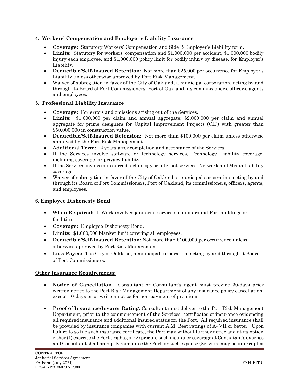### **4**. **Workers' Compensation and Employer's Liability Insurance**

- **Coverage:** Statutory Workers' Compensation and Side B Employer's Liability form.
- **Limits:** Statutory for workers' compensation and \$1,000,000 per accident, \$1,000,000 bodily injury each employee, and \$1,000,000 policy limit for bodily injury by disease, for Employer's Liability.
- **Deductible/Self-Insured Retention:** Not more than \$25,000 per occurrence for Employer's Liability unless otherwise approved by Port Risk Management.
- Waiver of subrogation in favor of the City of Oakland, a municipal corporation, acting by and through its Board of Port Commissioners, Port of Oakland, its commissioners, officers, agents and employees.

### **5**. **Professional Liability Insurance**

- **Coverage:** For errors and omissions arising out of the Services.
- **Limits:** \$1,000,000 per claim and annual aggregate; \$2,000,000 per claim and annual aggregate for prime designers for Capital Improvement Projects (CIP) with greater than \$50,000,000 in construction value.
- **Deductible/Self-Insured Retention:** Not more than \$100,000 per claim unless otherwise approved by the Port Risk Management.
- **Additional Term:** 2 years after completion and acceptance of the Services.
- If the Services involve software or technology services, Technology Liability coverage, including coverage for privacy liability.
- If the Services involve outsourced technology or internet services, Network and Media Liability coverage.
- Waiver of subrogation in favor of the City of Oakland, a municipal corporation, acting by and through its Board of Port Commissioners, Port of Oakland, its commissioners, officers, agents, and employees.

### **6. Employee Dishonesty Bond**

- **When Required:** If Work involves janitorial services in and around Port buildings or facilities.
- **Coverage:** Employee Dishonesty Bond.
- **Limits:** \$1,000,000 blanket limit covering all employees.
- **Deductible/Self-Insured Retention:** Not more than \$100,000 per occurrence unless otherwise approved by Port Risk Management.
- **Loss Payee:** The City of Oakland, a municipal corporation, acting by and through it Board of Port Commissioners.

### **Other Insurance Requirements:**

- **Notice of Cancellation**. Consultant or Consultant's agent must provide 30-days prior written notice to the Port Risk Management Department of any insurance policy cancellation, except 10-days prior written notice for non-payment of premium.
- **Proof of Insurance/Insurer Rating**. Consultant must deliver to the Port Risk Management Department, prior to the commencement of the Services, certificates of insurance evidencing all required insurance and additional insured status for the Port. All required insurance shall be provided by insurance companies with current A.M. Best ratings of A- VII or better. Upon failure to so file such insurance certificate, the Port may without further notice and at its option either (1) exercise the Port's rights; or (2) procure such insurance coverage at Consultant's expense and Consultant shall promptly reimburse the Port for such expense (Services may be interrupted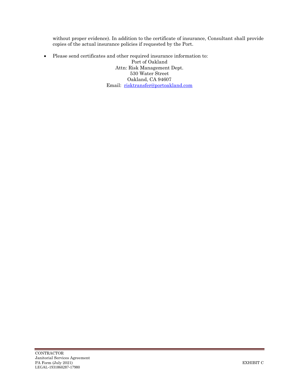without proper evidence). In addition to the certificate of insurance, Consultant shall provide copies of the actual insurance policies if requested by the Port.

• Please send certificates and other required insurance information to: Port of Oakland Attn: Risk Management Dept. 530 Water Street Oakland, CA 94607 Email: [risktransfer@portoakland.com](mailto:risktransfer@portoakland.com)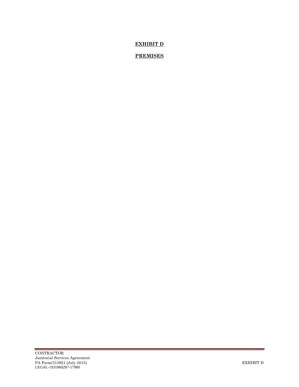# **EXHIBIT D**

# **PREMISES**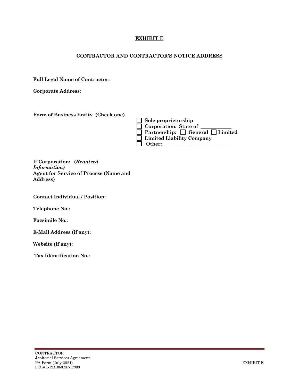### **EXHIBIT E**

#### **CONTRACTOR AND CONTRACTOR'S NOTICE ADDRESS**

**Full Legal Name of Contractor:**

**Corporate Address:**

| Form of Business Entity (Check one) |
|-------------------------------------|
|                                     |

| $\Box$ Sole proprietorship                        |
|---------------------------------------------------|
| $\Box$ Corporation: State of $\Box$               |
| $\Box$ Partnership: $\Box$ General $\Box$ Limited |
| $\Box$ Limited Liability Company                  |
| $\vert$   Other:                                  |

**If Corporation: (***Required Information)* **Agent for Service of Process (Name and Address)**

**Contact Individual / Position:**

**Telephone No.:**

**Facsimile No.:** 

**E-Mail Address (if any):**

**Website (if any):**

**Tax Identification No.:**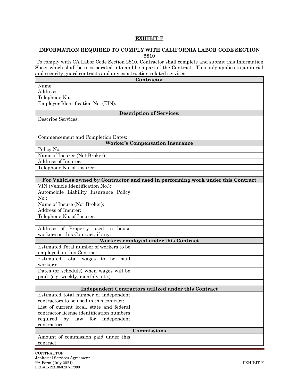#### **EXHIBIT F**

#### **INFORMATION REQUIRED TO COMPLY WITH CALIFORNIA LABOR CODE SECTION 2810**

To comply with CA Labor Code Section 2810, Contractor shall complete and submit this Information Sheet which shall be incorporated into and be a part of the Contract. This only applies to janitorial and security guard contracts and any construction related services.

| Contractor                                                                 |                                                                                  |  |  |  |
|----------------------------------------------------------------------------|----------------------------------------------------------------------------------|--|--|--|
| Name:                                                                      |                                                                                  |  |  |  |
| Address:                                                                   |                                                                                  |  |  |  |
| Telephone No.:                                                             |                                                                                  |  |  |  |
| Employer Identification No. (EIN):                                         |                                                                                  |  |  |  |
|                                                                            | <b>Description of Services:</b>                                                  |  |  |  |
| Describe Services:                                                         |                                                                                  |  |  |  |
|                                                                            |                                                                                  |  |  |  |
|                                                                            |                                                                                  |  |  |  |
| Commencement and Completion Dates:                                         |                                                                                  |  |  |  |
|                                                                            | <b>Worker's Compensation Insurance</b>                                           |  |  |  |
| Policy No.                                                                 |                                                                                  |  |  |  |
| Name of Insurer (Not Broker):                                              |                                                                                  |  |  |  |
| Address of Insurer:                                                        |                                                                                  |  |  |  |
| Telephone No. of Insurer:                                                  |                                                                                  |  |  |  |
|                                                                            |                                                                                  |  |  |  |
|                                                                            | For Vehicles owned by Contractor and used in performing work under this Contract |  |  |  |
| VIN (Vehicle Identification No.):<br>Automobile Liability Insurance Policy |                                                                                  |  |  |  |
| $No.$ :                                                                    |                                                                                  |  |  |  |
| Name of Insure (Not Broker):                                               |                                                                                  |  |  |  |
| Address of Insurer:                                                        |                                                                                  |  |  |  |
| Telephone No. of Insurer:                                                  |                                                                                  |  |  |  |
|                                                                            |                                                                                  |  |  |  |
| Address of Property used to house                                          |                                                                                  |  |  |  |
| workers on this Contract, if any:                                          |                                                                                  |  |  |  |
|                                                                            | Workers employed under this Contract                                             |  |  |  |
| Estimated Total number of workers to be                                    |                                                                                  |  |  |  |
| employed on this Contract:                                                 |                                                                                  |  |  |  |
| Estimated total wages to be paid                                           |                                                                                  |  |  |  |
| workers:                                                                   |                                                                                  |  |  |  |
| Dates (or schedule) when wages will be                                     |                                                                                  |  |  |  |
| paid: (e.g. weekly, monthly, etc.)                                         |                                                                                  |  |  |  |
|                                                                            |                                                                                  |  |  |  |
|                                                                            | Independent Contractors utilized under this Contract                             |  |  |  |
| Estimated total number of independent                                      |                                                                                  |  |  |  |
| contractors to be used in this contract:                                   |                                                                                  |  |  |  |
| List of current local, state and federal                                   |                                                                                  |  |  |  |
| contractor license identification numbers                                  |                                                                                  |  |  |  |
| independent<br>required<br>by law<br>${\rm for}$                           |                                                                                  |  |  |  |
| contractors:                                                               |                                                                                  |  |  |  |
| Commissions<br>Amount of commission paid under this                        |                                                                                  |  |  |  |
| contract                                                                   |                                                                                  |  |  |  |
|                                                                            |                                                                                  |  |  |  |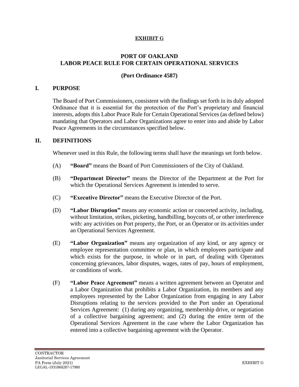## **EXHIBIT G**

# **PORT OF OAKLAND LABOR PEACE RULE FOR CERTAIN OPERATIONAL SERVICES**

# **(Port Ordinance 4587)**

# **I. PURPOSE**

The Board of Port Commissioners, consistent with the findings set forth in its duly adopted Ordinance that it is essential for the protection of the Port's proprietary and financial interests, adopts this Labor Peace Rule for Certain Operational Services (as defined below) mandating that Operators and Labor Organizations agree to enter into and abide by Labor Peace Agreements in the circumstances specified below.

# **II. DEFINITIONS**

Whenever used in this Rule, the following terms shall have the meanings set forth below.

- (A) **"Board"** means the Board of Port Commissioners of the City of Oakland.
- (B) **"Department Director"** means the Director of the Department at the Port for which the Operational Services Agreement is intended to serve.
- (C) **"Executive Director"** means the Executive Director of the Port.
- (D) **"Labor Disruption"** means any economic action or concerted activity, including, without limitation, strikes, picketing, handbilling, boycotts of, or other interference with: any activities on Port property, the Port, or an Operator or its activities under an Operational Services Agreement.
- (E) **"Labor Organization"** means any organization of any kind, or any agency or employee representation committee or plan, in which employees participate and which exists for the purpose, in whole or in part, of dealing with Operators concerning grievances, labor disputes, wages, rates of pay, hours of employment, or conditions of work.
- (F) **"Labor Peace Agreement"** means a written agreement between an Operator and a Labor Organization that prohibits a Labor Organization, its members and any employees represented by the Labor Organization from engaging in any Labor Disruptions relating to the services provided to the Port under an Operational Services Agreement: (1) during any organizing, membership drive, or negotiation of a collective bargaining agreement; and (2) during the entire term of the Operational Services Agreement in the case where the Labor Organization has entered into a collective bargaining agreement with the Operator.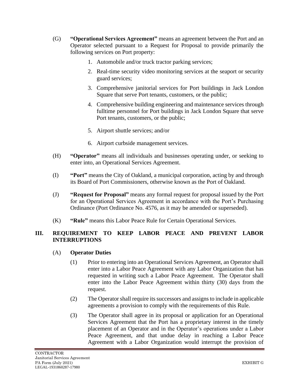- (G) **"Operational Services Agreement"** means an agreement between the Port and an Operator selected pursuant to a Request for Proposal to provide primarily the following services on Port property:
	- 1. Automobile and/or truck tractor parking services;
	- 2. Real-time security video monitoring services at the seaport or security guard services;
	- 3. Comprehensive janitorial services for Port buildings in Jack London Square that serve Port tenants, customers, or the public;
	- 4. Comprehensive building engineering and maintenance services through fulltime personnel for Port buildings in Jack London Square that serve Port tenants, customers, or the public;
	- 5. Airport shuttle services; and/or
	- 6. Airport curbside management services.
- (H) **"Operator"** means all individuals and businesses operating under, or seeking to enter into, an Operational Services Agreement.
- (I) **"Port"** means the City of Oakland, a municipal corporation, acting by and through its Board of Port Commissioners, otherwise known as the Port of Oakland.
- (J) **"Request for Proposal"** means any formal request for proposal issued by the Port for an Operational Services Agreement in accordance with the Port's Purchasing Ordinance (Port Ordinance No. 4576, as it may be amended or superseded).
- (K) **"Rule"** means this Labor Peace Rule for Certain Operational Services.

# **III. REQUIREMENT TO KEEP LABOR PEACE AND PREVENT LABOR INTERRUPTIONS**

# (A) **Operator Duties**

- (1) Prior to entering into an Operational Services Agreement, an Operator shall enter into a Labor Peace Agreement with any Labor Organization that has requested in writing such a Labor Peace Agreement. The Operator shall enter into the Labor Peace Agreement within thirty (30) days from the request.
- (2) The Operator shall require its successors and assigns to include in applicable agreements a provision to comply with the requirements of this Rule.
- (3) The Operator shall agree in its proposal or application for an Operational Services Agreement that the Port has a proprietary interest in the timely placement of an Operator and in the Operator's operations under a Labor Peace Agreement, and that undue delay in reaching a Labor Peace Agreement with a Labor Organization would interrupt the provision of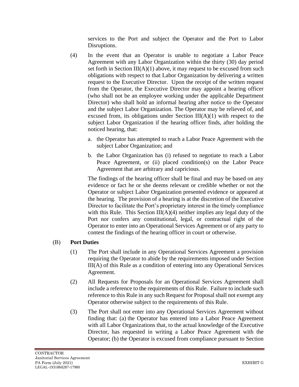services to the Port and subject the Operator and the Port to Labor Disruptions.

- (4) In the event that an Operator is unable to negotiate a Labor Peace Agreement with any Labor Organization within the thirty (30) day period set forth in Section III( $A$ )(1) above, it may request to be excused from such obligations with respect to that Labor Organization by delivering a written request to the Executive Director. Upon the receipt of the written request from the Operator, the Executive Director may appoint a hearing officer (who shall not be an employee working under the applicable Department Director) who shall hold an informal hearing after notice to the Operator and the subject Labor Organization. The Operator may be relieved of, and excused from, its obligations under Section  $III(A)(1)$  with respect to the subject Labor Organization if the hearing officer finds, after holding the noticed hearing, that:
	- a. the Operator has attempted to reach a Labor Peace Agreement with the subject Labor Organization; and
	- b. the Labor Organization has (i) refused to negotiate to reach a Labor Peace Agreement, or (ii) placed condition(s) on the Labor Peace Agreement that are arbitrary and capricious.

The findings of the hearing officer shall be final and may be based on any evidence or fact he or she deems relevant or credible whether or not the Operator or subject Labor Organization presented evidence or appeared at the hearing. The provision of a hearing is at the discretion of the Executive Director to facilitate the Port's proprietary interest in the timely compliance with this Rule. This Section  $III(A)(4)$  neither implies any legal duty of the Port nor confers any constitutional, legal, or contractual right of the Operator to enter into an Operational Services Agreement or of any party to contest the findings of the hearing officer in court or otherwise.

# (B) **Port Duties**

- (1) The Port shall include in any Operational Services Agreement a provision requiring the Operator to abide by the requirements imposed under Section III(A) of this Rule as a condition of entering into any Operational Services Agreement.
- (2) All Requests for Proposals for an Operational Services Agreement shall include a reference to the requirements of this Rule. Failure to include such reference to this Rule in any such Request for Proposal shall not exempt any Operator otherwise subject to the requirements of this Rule.
- (3) The Port shall not enter into any Operational Services Agreement without finding that: (a) the Operator has entered into a Labor Peace Agreement with all Labor Organizations that, to the actual knowledge of the Executive Director, has requested in writing a Labor Peace Agreement with the Operator; (b) the Operator is excused from compliance pursuant to Section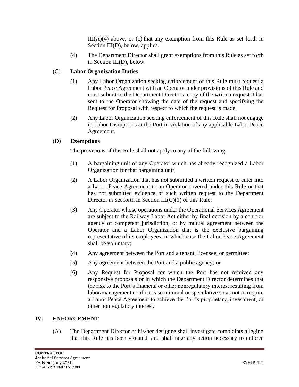$III(A)(4)$  above; or (c) that any exemption from this Rule as set forth in Section III(D), below, applies.

(4) The Department Director shall grant exemptions from this Rule as set forth in Section III(D), below.

# (C) **Labor Organization Duties**

- (1) Any Labor Organization seeking enforcement of this Rule must request a Labor Peace Agreement with an Operator under provisions of this Rule and must submit to the Department Director a copy of the written request it has sent to the Operator showing the date of the request and specifying the Request for Proposal with respect to which the request is made.
- (2) Any Labor Organization seeking enforcement of this Rule shall not engage in Labor Disruptions at the Port in violation of any applicable Labor Peace Agreement.

# (D) **Exemptions**

The provisions of this Rule shall not apply to any of the following:

- (1) A bargaining unit of any Operator which has already recognized a Labor Organization for that bargaining unit;
- (2) A Labor Organization that has not submitted a written request to enter into a Labor Peace Agreement to an Operator covered under this Rule or that has not submitted evidence of such written request to the Department Director as set forth in Section  $III(C)(1)$  of this Rule;
- (3) Any Operator whose operations under the Operational Services Agreement are subject to the Railway Labor Act either by final decision by a court or agency of competent jurisdiction, or by mutual agreement between the Operator and a Labor Organization that is the exclusive bargaining representative of its employees, in which case the Labor Peace Agreement shall be voluntary;
- (4) Any agreement between the Port and a tenant, licensee, or permittee;
- (5) Any agreement between the Port and a public agency; or
- (6) Any Request for Proposal for which the Port has not received any responsive proposals or in which the Department Director determines that the risk to the Port's financial or other nonregulatory interest resulting from labor/management conflict is so minimal or speculative so as not to require a Labor Peace Agreement to achieve the Port's proprietary, investment, or other nonregulatory interest.

# **IV. ENFORCEMENT**

(A) The Department Director or his/her designee shall investigate complaints alleging that this Rule has been violated, and shall take any action necessary to enforce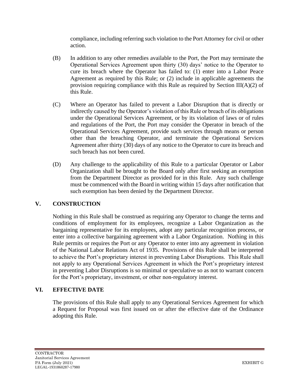compliance, including referring such violation to the Port Attorney for civil or other action.

- (B) In addition to any other remedies available to the Port, the Port may terminate the Operational Services Agreement upon thirty (30) days' notice to the Operator to cure its breach where the Operator has failed to: (1) enter into a Labor Peace Agreement as required by this Rule; or (2) include in applicable agreements the provision requiring compliance with this Rule as required by Section  $III(A)(2)$  of this Rule.
- (C) Where an Operator has failed to prevent a Labor Disruption that is directly or indirectly caused by the Operator's violation of this Rule or breach of its obligations under the Operational Services Agreement, or by its violation of laws or of rules and regulations of the Port, the Port may consider the Operator in breach of the Operational Services Agreement, provide such services through means or person other than the breaching Operator, and terminate the Operational Services Agreement after thirty (30) days of any notice to the Operator to cure its breach and such breach has not been cured.
- (D) Any challenge to the applicability of this Rule to a particular Operator or Labor Organization shall be brought to the Board only after first seeking an exemption from the Department Director as provided for in this Rule. Any such challenge must be commenced with the Board in writing within 15 days after notification that such exemption has been denied by the Department Director.

# **V. CONSTRUCTION**

Nothing in this Rule shall be construed as requiring any Operator to change the terms and conditions of employment for its employees, recognize a Labor Organization as the bargaining representative for its employees, adopt any particular recognition process, or enter into a collective bargaining agreement with a Labor Organization. Nothing in this Rule permits or requires the Port or any Operator to enter into any agreement in violation of the National Labor Relations Act of 1935. Provisions of this Rule shall be interpreted to achieve the Port's proprietary interest in preventing Labor Disruptions. This Rule shall not apply to any Operational Services Agreement in which the Port's proprietary interest in preventing Labor Disruptions is so minimal or speculative so as not to warrant concern for the Port's proprietary, investment, or other non-regulatory interest.

# **VI. EFFECTIVE DATE**

The provisions of this Rule shall apply to any Operational Services Agreement for which a Request for Proposal was first issued on or after the effective date of the Ordinance adopting this Rule.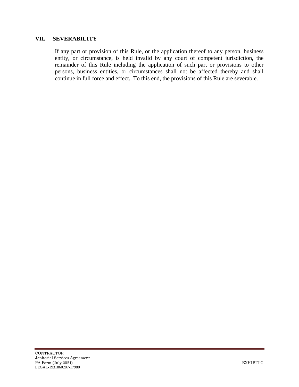### **VII. SEVERABILITY**

If any part or provision of this Rule, or the application thereof to any person, business entity, or circumstance, is held invalid by any court of competent jurisdiction, the remainder of this Rule including the application of such part or provisions to other persons, business entities, or circumstances shall not be affected thereby and shall continue in full force and effect. To this end, the provisions of this Rule are severable.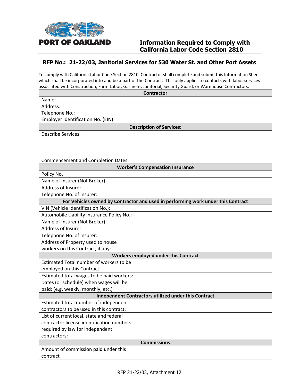

# **RFP No.: 21-22/03, Janitorial Services for 530 Water St. and Other Port Assets**

To comply with California Labor Code Section 2810, Contractor shall complete and submit this Information Sheet which shall be incorporated into and be a part of the Contract. This only applies to contacts with labor services associated with Construction, Farm Labor, Garment, Janitorial, Security Guard, or Warehouse Contractors.

|                                                      | <b>Contractor</b>                                                                |  |  |  |
|------------------------------------------------------|----------------------------------------------------------------------------------|--|--|--|
| Name:                                                |                                                                                  |  |  |  |
| Address:                                             |                                                                                  |  |  |  |
| Telephone No.:                                       |                                                                                  |  |  |  |
| Employer Identification No. (EIN):                   |                                                                                  |  |  |  |
|                                                      | <b>Description of Services:</b>                                                  |  |  |  |
| <b>Describe Services:</b>                            |                                                                                  |  |  |  |
|                                                      |                                                                                  |  |  |  |
|                                                      |                                                                                  |  |  |  |
| <b>Commencement and Completion Dates:</b>            |                                                                                  |  |  |  |
|                                                      | <b>Worker's Compensation Insurance</b>                                           |  |  |  |
|                                                      |                                                                                  |  |  |  |
| Policy No.                                           |                                                                                  |  |  |  |
| Name of Insurer (Not Broker):                        |                                                                                  |  |  |  |
| Address of Insurer:                                  |                                                                                  |  |  |  |
| Telephone No. of Insurer:                            |                                                                                  |  |  |  |
|                                                      | For Vehicles owned by Contractor and used in performing work under this Contract |  |  |  |
| VIN (Vehicle Identification No.):                    |                                                                                  |  |  |  |
| Automobile Liability Insurance Policy No.:           |                                                                                  |  |  |  |
| Name of Insurer (Not Broker):                        |                                                                                  |  |  |  |
| Address of Insurer:                                  |                                                                                  |  |  |  |
| Telephone No. of Insurer:                            |                                                                                  |  |  |  |
| Address of Property used to house                    |                                                                                  |  |  |  |
| workers on this Contract, if any:                    |                                                                                  |  |  |  |
|                                                      | <b>Workers employed under this Contract</b>                                      |  |  |  |
| Estimated Total number of workers to be              |                                                                                  |  |  |  |
| employed on this Contract:                           |                                                                                  |  |  |  |
| Estimated total wages to be paid workers:            |                                                                                  |  |  |  |
| Dates (or schedule) when wages will be               |                                                                                  |  |  |  |
| paid: (e.g. weekly, monthly, etc.)                   |                                                                                  |  |  |  |
| Independent Contractors utilized under this Contract |                                                                                  |  |  |  |
| Estimated total number of independent                |                                                                                  |  |  |  |
| contractors to be used in this contract:             |                                                                                  |  |  |  |
| List of current local, state and federal             |                                                                                  |  |  |  |
| contractor license identification numbers            |                                                                                  |  |  |  |
| required by law for independent                      |                                                                                  |  |  |  |
| contractors:                                         |                                                                                  |  |  |  |
| <b>Commissions</b>                                   |                                                                                  |  |  |  |
| Amount of commission paid under this                 |                                                                                  |  |  |  |
| contract                                             |                                                                                  |  |  |  |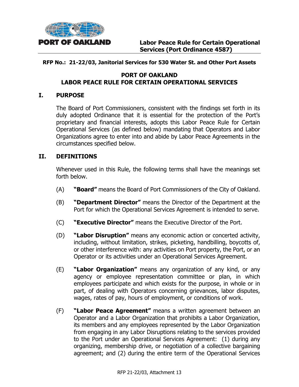

# **RFP No.: 21-22/03, Janitorial Services for 530 Water St. and Other Port Assets**

# **PORT OF OAKLAND LABOR PEACE RULE FOR CERTAIN OPERATIONAL SERVICES**

# **I. PURPOSE**

The Board of Port Commissioners, consistent with the findings set forth in its duly adopted Ordinance that it is essential for the protection of the Port's proprietary and financial interests, adopts this Labor Peace Rule for Certain Operational Services (as defined below) mandating that Operators and Labor Organizations agree to enter into and abide by Labor Peace Agreements in the circumstances specified below.

# **II. DEFINITIONS**

Whenever used in this Rule, the following terms shall have the meanings set forth below.

- (A) **"Board"** means the Board of Port Commissioners of the City of Oakland.
- (B) **"Department Director"** means the Director of the Department at the Port for which the Operational Services Agreement is intended to serve.
- (C) **"Executive Director"** means the Executive Director of the Port.
- (D) **"Labor Disruption"** means any economic action or concerted activity, including, without limitation, strikes, picketing, handbilling, boycotts of, or other interference with: any activities on Port property, the Port, or an Operator or its activities under an Operational Services Agreement.
- (E) **"Labor Organization"** means any organization of any kind, or any agency or employee representation committee or plan, in which employees participate and which exists for the purpose, in whole or in part, of dealing with Operators concerning grievances, labor disputes, wages, rates of pay, hours of employment, or conditions of work.
- (F) **"Labor Peace Agreement"** means a written agreement between an Operator and a Labor Organization that prohibits a Labor Organization, its members and any employees represented by the Labor Organization from engaging in any Labor Disruptions relating to the services provided to the Port under an Operational Services Agreement: (1) during any organizing, membership drive, or negotiation of a collective bargaining agreement; and (2) during the entire term of the Operational Services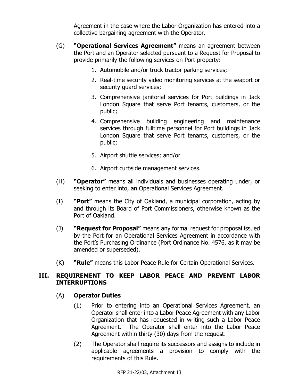Agreement in the case where the Labor Organization has entered into a collective bargaining agreement with the Operator.

- (G) **"Operational Services Agreement"** means an agreement between the Port and an Operator selected pursuant to a Request for Proposal to provide primarily the following services on Port property:
	- 1. Automobile and/or truck tractor parking services;
	- 2. Real-time security video monitoring services at the seaport or security quard services;
	- 3. Comprehensive janitorial services for Port buildings in Jack London Square that serve Port tenants, customers, or the public;
	- 4. Comprehensive building engineering and maintenance services through fulltime personnel for Port buildings in Jack London Square that serve Port tenants, customers, or the public;
	- 5. Airport shuttle services; and/or
	- 6. Airport curbside management services.
- (H) **"Operator"** means all individuals and businesses operating under, or seeking to enter into, an Operational Services Agreement.
- (I) **"Port"** means the City of Oakland, a municipal corporation, acting by and through its Board of Port Commissioners, otherwise known as the Port of Oakland.
- (J) **"Request for Proposal"** means any formal request for proposal issued by the Port for an Operational Services Agreement in accordance with the Port's Purchasing Ordinance (Port Ordinance No. 4576, as it may be amended or superseded).
- (K) **"Rule"** means this Labor Peace Rule for Certain Operational Services.

# **III. REQUIREMENT TO KEEP LABOR PEACE AND PREVENT LABOR INTERRUPTIONS**

# (A) **Operator Duties**

- (1) Prior to entering into an Operational Services Agreement, an Operator shall enter into a Labor Peace Agreement with any Labor Organization that has requested in writing such a Labor Peace Agreement. The Operator shall enter into the Labor Peace Agreement within thirty (30) days from the request.
- (2) The Operator shall require its successors and assigns to include in applicable agreements a provision to comply with the requirements of this Rule.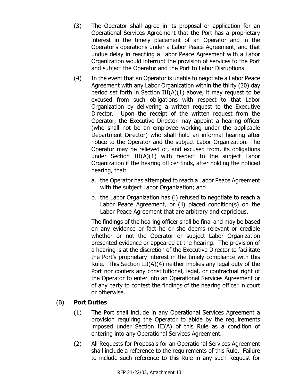- (3) The Operator shall agree in its proposal or application for an Operational Services Agreement that the Port has a proprietary interest in the timely placement of an Operator and in the Operator's operations under a Labor Peace Agreement, and that undue delay in reaching a Labor Peace Agreement with a Labor Organization would interrupt the provision of services to the Port and subject the Operator and the Port to Labor Disruptions.
- (4) In the event that an Operator is unable to negotiate a Labor Peace Agreement with any Labor Organization within the thirty (30) day period set forth in Section  $III(A)(1)$  above, it may request to be excused from such obligations with respect to that Labor Organization by delivering a written request to the Executive Director. Upon the receipt of the written request from the Operator, the Executive Director may appoint a hearing officer (who shall not be an employee working under the applicable Department Director) who shall hold an informal hearing after notice to the Operator and the subject Labor Organization. The Operator may be relieved of, and excused from, its obligations under Section III(A)(1) with respect to the subject Labor Organization if the hearing officer finds, after holding the noticed hearing, that:
	- a. the Operator has attempted to reach a Labor Peace Agreement with the subject Labor Organization; and
	- b. the Labor Organization has (i) refused to negotiate to reach a Labor Peace Agreement, or (ii) placed condition(s) on the Labor Peace Agreement that are arbitrary and capricious.

The findings of the hearing officer shall be final and may be based on any evidence or fact he or she deems relevant or credible whether or not the Operator or subject Labor Organization presented evidence or appeared at the hearing. The provision of a hearing is at the discretion of the Executive Director to facilitate the Port's proprietary interest in the timely compliance with this Rule. This Section III(A)(4) neither implies any legal duty of the Port nor confers any constitutional, legal, or contractual right of the Operator to enter into an Operational Services Agreement or of any party to contest the findings of the hearing officer in court or otherwise.

# (B) **Port Duties**

- (1) The Port shall include in any Operational Services Agreement a provision requiring the Operator to abide by the requirements imposed under Section III(A) of this Rule as a condition of entering into any Operational Services Agreement.
- (2) All Requests for Proposals for an Operational Services Agreement shall include a reference to the requirements of this Rule. Failure to include such reference to this Rule in any such Request for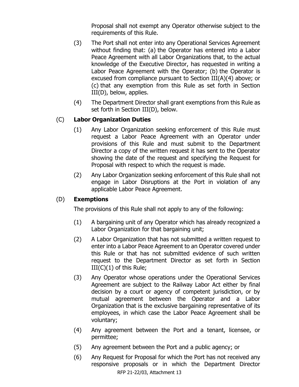Proposal shall not exempt any Operator otherwise subject to the requirements of this Rule.

- (3) The Port shall not enter into any Operational Services Agreement without finding that: (a) the Operator has entered into a Labor Peace Agreement with all Labor Organizations that, to the actual knowledge of the Executive Director, has requested in writing a Labor Peace Agreement with the Operator; (b) the Operator is excused from compliance pursuant to Section III(A)(4) above; or (c) that any exemption from this Rule as set forth in Section III(D), below, applies.
- (4) The Department Director shall grant exemptions from this Rule as set forth in Section III(D), below.

# (C) **Labor Organization Duties**

- (1) Any Labor Organization seeking enforcement of this Rule must request a Labor Peace Agreement with an Operator under provisions of this Rule and must submit to the Department Director a copy of the written request it has sent to the Operator showing the date of the request and specifying the Request for Proposal with respect to which the request is made.
- (2) Any Labor Organization seeking enforcement of this Rule shall not engage in Labor Disruptions at the Port in violation of any applicable Labor Peace Agreement.

## (D) **Exemptions**

The provisions of this Rule shall not apply to any of the following:

- (1) A bargaining unit of any Operator which has already recognized a Labor Organization for that bargaining unit;
- (2) A Labor Organization that has not submitted a written request to enter into a Labor Peace Agreement to an Operator covered under this Rule or that has not submitted evidence of such written request to the Department Director as set forth in Section  $III(C)(1)$  of this Rule;
- (3) Any Operator whose operations under the Operational Services Agreement are subject to the Railway Labor Act either by final decision by a court or agency of competent jurisdiction, or by mutual agreement between the Operator and a Labor Organization that is the exclusive bargaining representative of its employees, in which case the Labor Peace Agreement shall be voluntary;
- (4) Any agreement between the Port and a tenant, licensee, or permittee;
- (5) Any agreement between the Port and a public agency; or
- RFP 21-22/03, Attachment 13 (6) Any Request for Proposal for which the Port has not received any responsive proposals or in which the Department Director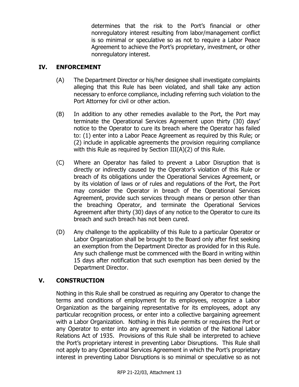determines that the risk to the Port's financial or other nonregulatory interest resulting from labor/management conflict is so minimal or speculative so as not to require a Labor Peace Agreement to achieve the Port's proprietary, investment, or other nonregulatory interest.

### **IV. ENFORCEMENT**

- (A) The Department Director or his/her designee shall investigate complaints alleging that this Rule has been violated, and shall take any action necessary to enforce compliance, including referring such violation to the Port Attorney for civil or other action.
- (B) In addition to any other remedies available to the Port, the Port may terminate the Operational Services Agreement upon thirty (30) days' notice to the Operator to cure its breach where the Operator has failed to: (1) enter into a Labor Peace Agreement as required by this Rule; or (2) include in applicable agreements the provision requiring compliance with this Rule as required by Section III(A)(2) of this Rule.
- (C) Where an Operator has failed to prevent a Labor Disruption that is directly or indirectly caused by the Operator's violation of this Rule or breach of its obligations under the Operational Services Agreement, or by its violation of laws or of rules and regulations of the Port, the Port may consider the Operator in breach of the Operational Services Agreement, provide such services through means or person other than the breaching Operator, and terminate the Operational Services Agreement after thirty (30) days of any notice to the Operator to cure its breach and such breach has not been cured.
- (D) Any challenge to the applicability of this Rule to a particular Operator or Labor Organization shall be brought to the Board only after first seeking an exemption from the Department Director as provided for in this Rule. Any such challenge must be commenced with the Board in writing within 15 days after notification that such exemption has been denied by the Department Director.

## **V. CONSTRUCTION**

Nothing in this Rule shall be construed as requiring any Operator to change the terms and conditions of employment for its employees, recognize a Labor Organization as the bargaining representative for its employees, adopt any particular recognition process, or enter into a collective bargaining agreement with a Labor Organization. Nothing in this Rule permits or requires the Port or any Operator to enter into any agreement in violation of the National Labor Relations Act of 1935. Provisions of this Rule shall be interpreted to achieve the Port's proprietary interest in preventing Labor Disruptions. This Rule shall not apply to any Operational Services Agreement in which the Port's proprietary interest in preventing Labor Disruptions is so minimal or speculative so as not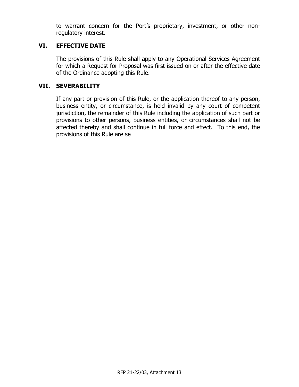to warrant concern for the Port's proprietary, investment, or other nonregulatory interest.

### **VI. EFFECTIVE DATE**

The provisions of this Rule shall apply to any Operational Services Agreement for which a Request for Proposal was first issued on or after the effective date of the Ordinance adopting this Rule.

#### **VII. SEVERABILITY**

If any part or provision of this Rule, or the application thereof to any person, business entity, or circumstance, is held invalid by any court of competent jurisdiction, the remainder of this Rule including the application of such part or provisions to other persons, business entities, or circumstances shall not be affected thereby and shall continue in full force and effect. To this end, the provisions of this Rule are se